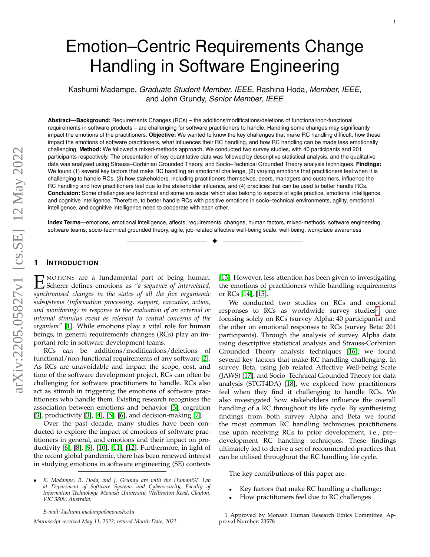# Emotion–Centric Requirements Change Handling in Software Engineering

Kashumi Madampe, *Graduate Student Member, IEEE,* Rashina Hoda, *Member, IEEE,* and John Grundy, *Senior Member, IEEE*

**Abstract**—**Background:** Requirements Changes (RCs) – the additions/modifications/deletions of functional/non-functional requirements in software products – are challenging for software practitioners to handle. Handling some changes may significantly impact the emotions of the practitioners. **Objective:** We wanted to know the key challenges that make RC handling difficult, how these impact the emotions of software practitioners, what influences their RC handling, and how RC handling can be made less emotionally challenging. **Method:** We followed a mixed-methods approach. We conducted two survey studies, with 40 participants and 201 participants respectively. The presentation of key quantitative data was followed by descriptive statistical analysis, and the qualitative data was analysed using Strauss–Corbinian Grounded Theory, and Socio–Technical Grounded Theory analysis techniques. **Findings:** We found (1) several key factors that make RC handling an emotional challenge, (2) varying emotions that practitioners feel when it is challenging to handle RCs, (3) how stakeholders, including practitioners themselves, peers, managers and customers, influence the RC handling and how practitioners feel due to the stakeholder influence, and (4) practices that can be used to better handle RCs. **Conclusion:** Some challenges are technical and some are social which also belong to aspects of agile practice, emotional intelligence, and cognitive intelligence. Therefore, to better handle RCs with positive emotions in socio–technical environments, agility, emotional intelligence, and cognitive intelligence need to cooperate with each other.

**Index Terms**—emotions, emotional intelligence, affects, requirements, changes, human factors, mixed-methods, software engineering, software teams, socio-technical grounded theory, agile, job-related affective well-being scale, well-being, workplace awareness ✦

#### **1 INTRODUCTION**

 $\mathbf E$ MOTIONS are a fundamental part of being human. Scherer defines emotions as *"a sequence of interrelated, synchronised changes in the states of all the five organismic subsystems (information processing, support, executive, action, and monitoring) in response to the evaluation of an external or internal stimulus event as relevant to central concerns of the organism"* [\[1\]](#page-13-0). While emotions play a vital role for human beings, in general requirements changes (RCs) play an important role in software development teams.

RCs can be additions/modifications/deletions of functional/non-functional requirements of any software [\[2\]](#page-13-1). As RCs are unavoidable and impact the scope, cost, and time of the software development project, RCs can often be challenging for software practitioners to handle. RCs also act as stimuli in triggering the emotions of software practitioners who handle them. Existing research recognises the association between emotions and behavior [\[3\]](#page-13-2), cognition [\[3\]](#page-13-2), productivity [\[3\]](#page-13-2), [\[4\]](#page-13-3), [\[5\]](#page-13-4), [\[6\]](#page-13-5), and decision-making [\[7\]](#page-13-6).

Over the past decade, many studies have been conducted to explore the impact of emotions of software practitioners in general, and emotions and their impact on productivity [\[6\]](#page-13-5), [\[8\]](#page-13-7), [\[9\]](#page-13-8), [\[10\]](#page-13-9), [\[11\]](#page-13-10), [\[12\]](#page-13-11). Furthermore, in light of the recent global pandemic, there has been renewed interest in studying emotions in software engineering (SE) contexts

• *K. Madampe, R. Hoda, and J. Grundy are with the HumaniSE Lab at Department of Software Systems and Cybersecurity, Faculty of Information Technology, Monash University, Wellington Road, Clayton, VIC 3800, Australia.*

*E-mail: kashumi.madampe@monash.edu*

*Manuscript received May 11, 2022; revised Month Date, 2021.*

[\[13\]](#page-13-12). However, less attention has been given to investigating the emotions of practitioners while handling requirements or RCs [\[14\]](#page-13-13), [\[15\]](#page-13-14).

We conducted two studies on RCs and emotional responses to RCs as worldwide survey studies $^1$  $^1$ , one focusing solely on RCs (survey Alpha: 40 participants) and the other on emotional responses to RCs (survey Beta: 201 participants). Through the analysis of survey Alpha data using descriptive statistical analysis and Strauss-Corbinian Grounded Theory analysis techniques [\[16\]](#page-13-15), we found several key factors that make RC handling challenging. In survey Beta, using Job related Affective Well-being Scale (JAWS) [\[17\]](#page-13-16), and Socio–Technical Grounded Theory for data analysis (STGT4DA) [\[18\]](#page-14-0), we explored how practitioners feel when they find it challenging to handle RCs. We also investigated how stakeholders influence the overall handling of a RC throughout its life cycle. By synthesising findings from both survey Alpha and Beta we found the most common RC handling techniques practitioners use upon receiving RCs to prior development, i.e., pre– development RC handling techniques. These findings ultimately led to derive a set of recommended practices that can be utilised throughout the RC handling life cycle.

The key contributions of this paper are:

- Key factors that make RC handling a challenge;
- How practitioners feel due to RC challenges

<span id="page-0-0"></span><sup>1.</sup> Approved by Monash Human Research Ethics Committee. Approval Number: 23578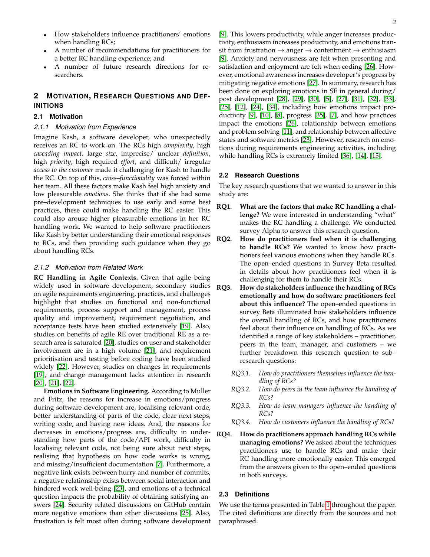- How stakeholders influence practitioners' emotions when handling RCs;
- A number of recommendations for practitioners for a better RC handling experience; and
- A number of future research directions for researchers.

## **2 MOTIVATION, RESEARCH QUESTIONS AND DEF-INITIONS**

#### **2.1 Motivation**

#### *2.1.1 Motivation from Experience*

Imagine Kash, a software developer, who unexpectedly receives an RC to work on. The RCs high *complexity*, high *cascading impact*, large *size*, imprecise/ unclear *definition*, high *priority*, high required *effort*, and difficult/ irregular *access to the customer* made it challenging for Kash to handle the RC. On top of this, *cross–functionality* was forced within her team. All these factors make Kash feel high anxiety and low pleasurable *emotions*. She thinks that if she had some pre–development techniques to use early and some best practices, these could make handling the RC easier. This could also arouse higher pleasurable emotions in her RC handling work. We wanted to help software practitioners like Kash by better understanding their emotional responses to RCs, and then providing such guidance when they go about handling RCs.

#### *2.1.2 Motivation from Related Work*

**RC Handling in Agile Contexts.** Given that agile being widely used in software development, secondary studies on agile requirements engineering, practices, and challenges highlight that studies on functional and non-functional requirements, process support and management, process quality and improvement, requirement negotiation, and acceptance tests have been studied extensively [\[19\]](#page-14-1). Also, studies on benefits of agile RE over traditional RE as a research area is saturated [\[20\]](#page-14-2), studies on user and stakeholder involvement are in a high volume [\[21\]](#page-14-3), and requirement prioritisation and testing before coding have been studied widely [\[22\]](#page-14-4). However, studies on changes in requirements [\[19\]](#page-14-1), and change management lacks attention in research [\[20\]](#page-14-2), [\[21\]](#page-14-3), [\[22\]](#page-14-4).

**Emotions in Software Engineering.** According to Muller and Fritz, the reasons for increase in emotions/progress during software development are, localising relevant code, better understanding of parts of the code, clear next steps, writing code, and having new ideas. And, the reasons for decreases in emotions/progress are, difficulty in understanding how parts of the code/API work, difficulty in localising relevant code, not being sure about next steps, realising that hypothesis on how code works is wrong, and missing/insufficient documentation [\[7\]](#page-13-6). Furthermore, a negative link exists between hurry and number of commits, a negative relationship exists between social interaction and hindered work well-being [\[23\]](#page-14-5), and emotions of a technical question impacts the probability of obtaining satisfying answers [\[24\]](#page-14-6). Security related discussions on GitHub contain more negative emotions than other discussions [\[25\]](#page-14-7). Also, frustration is felt most often during software development

[\[9\]](#page-13-8). This lowers productivity, while anger increases productivity, enthusiasm increases productivity, and emotions transit from frustration  $\rightarrow$  anger  $\rightarrow$  contentment  $\rightarrow$  enthusiasm [\[9\]](#page-13-8). Anxiety and nervousness are felt when presenting and satisfaction and enjoyment are felt when coding [\[26\]](#page-14-8). However, emotional awareness increases developer's progress by mitigating negative emotions [\[27\]](#page-14-9). In summary, research has been done on exploring emotions in SE in general during/ post development [\[28\]](#page-14-10), [\[29\]](#page-14-11), [\[30\]](#page-14-12), [\[5\]](#page-13-4), [\[27\]](#page-14-9), [\[31\]](#page-14-13), [\[32\]](#page-14-14), [\[33\]](#page-14-15), [\[25\]](#page-14-7), [\[12\]](#page-13-11), [\[24\]](#page-14-6), [\[34\]](#page-14-16), including how emotions impact productivity [\[9\]](#page-13-8), [\[10\]](#page-13-9), [\[8\]](#page-13-7), progress [\[35\]](#page-14-17), [\[7\]](#page-13-6), and how practices impact the emotions [\[26\]](#page-14-8), relationship between emotions and problem solving [\[11\]](#page-13-10), and relationship between affective states and software metrics [\[23\]](#page-14-5). However, research on emotions during requirements engineering activities, including while handling RCs is extremely limited [\[36\]](#page-14-18), [\[14\]](#page-13-13), [\[15\]](#page-13-14).

#### **2.2 Research Questions**

The key research questions that we wanted to answer in this study are:

- **RQ1. What are the factors that make RC handling a challenge?** We were interested in understanding "what" makes the RC handling a challenge. We conducted survey Alpha to answer this research question.
- **RQ2. How do practitioners feel when it is challenging to handle RCs?** We wanted to know how practitioners feel various emotions when they handle RCs. The open–ended questions in Survey Beta resulted in details about how practitioners feel when it is challenging for them to handle their RCs.
- **RQ3. How do stakeholders influence the handling of RCs emotionally and how do software practitioners feel about this influence?** The open–ended questions in survey Beta illuminated how stakeholders influence the overall handling of RCs, and how practitioners feel about their influence on handling of RCs. As we identified a range of key stakeholders – practitioner, peers in the team, manager, and customers – we further breakdown this research question to sub– research questions:
	- *RQ3.1. How do practitioners themselves influence the handling of RCs?*
	- *RQ3.2. How do peers in the team influence the handling of RCs?*
	- *RQ3.3. How do team managers influence the handling of RCs?*
	- *RQ3.4. How do customers influence the handling of RCs?*
- **RQ4. How do practitioners approach handling RCs while managing emotions?** We asked about the techniques practitioners use to handle RCs and make their RC handling more emotionally easier. This emerged from the answers given to the open–ended questions in both surveys.

#### **2.3 Definitions**

We use the terms presented in Table [1](#page-2-0) throughout the paper. The cited definitions are directly from the sources and not paraphrased.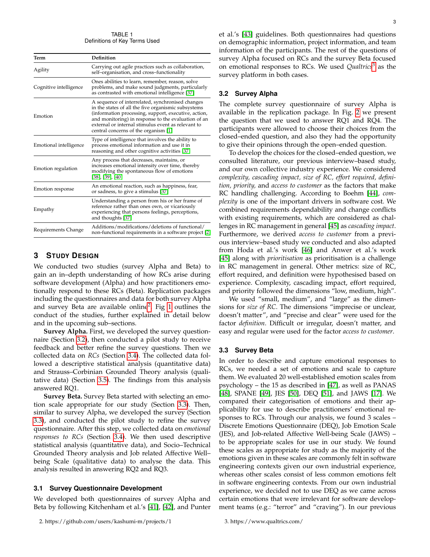TABLE 1 Definitions of Key Terms Used

<span id="page-2-0"></span>

| Term                   | Definition                                                                                                                                                                                                                                                                                                           |
|------------------------|----------------------------------------------------------------------------------------------------------------------------------------------------------------------------------------------------------------------------------------------------------------------------------------------------------------------|
| Agility                | Carrying out agile practices such as collaboration,<br>self-organisation, and cross-functionality                                                                                                                                                                                                                    |
| Cognitive intelligence | Ones abilities to learn, remember, reason, solve<br>problems, and make sound judgments, particularly<br>as contrasted with emotional intelligence [37]                                                                                                                                                               |
| Emotion                | A sequence of interrelated, synchronised changes<br>in the states of all the five organismic subsystems<br>(information processing, support, executive, action,<br>and monitoring) in response to the evaluation of an<br>external or internal stimulus event as relevant to<br>central concerns of the organism [1] |
| Emotional intelligence | Type of intelligence that involves the ability to<br>process emotional information and use it in<br>reasoning and other cognitive activities [37]                                                                                                                                                                    |
| Emotion regulation     | Any process that decreases, maintains, or<br>increases emotional intensity over time, thereby<br>modifying the spontaneous flow of emotions<br>[38], [39], [40]                                                                                                                                                      |
| Emotion response       | An emotional reaction, such as happiness, fear,<br>or sadness, to give a stimulus [37]                                                                                                                                                                                                                               |
| Empathy                | Understanding a person from his or her frame of<br>reference rather than ones own, or vicariously<br>experiencing that persons feelings, perceptions,<br>and thoughts [37]                                                                                                                                           |
| Requirements Change    | Additions/modifications/deletions of functional/<br>non-functional requirements in a software project [2]                                                                                                                                                                                                            |

## **3 STUDY DESIGN**

We conducted two studies (survey Alpha and Beta) to gain an in–depth understanding of how RCs arise during software development (Alpha) and how practitioners emotionally respond to these RCs (Beta). Replication packages including the questionnaires and data for both survey Alpha and survey Beta are available online<sup>[2](#page-2-1)</sup>. Fig [1](#page-3-0) outlines the conduct of the studies, further explained in detail below and in the upcoming sub–sections.

**Survey Alpha.** First, we developed the survey questionnaire (Section [3.2\)](#page-2-2), then conducted a pilot study to receive feedback and better refine the survey questions. Then we collected data on *RCs* (Section [3.4\)](#page-3-1). The collected data followed a descriptive statistical analysis (quantitative data) and Strauss–Corbinian Grounded Theory analysis (qualitative data) (Section [3.5\)](#page-4-0). The findings from this analysis answered RQ1.

**Survey Beta.** Survey Beta started with selecting an emotion scale appropriate for our study (Section [3.3\)](#page-2-3). Then, similar to survey Alpha, we developed the survey (Section [3.3\)](#page-2-3), and conducted the pilot study to refine the survey questionnaire. After this step, we collected data on *emotional responses to RCs* (Section [3.4\)](#page-3-1). We then used descriptive statistical analysis (quantitative data), and Socio–Technical Grounded Theory analysis and Job related Affective Well– being Scale (qualitative data) to analyse the data. This analysis resulted in answering RQ2 and RQ3.

#### **3.1 Survey Questionnaire Development**

We developed both questionnaires of survey Alpha and Beta by following Kitchenham et al.'s [\[41\]](#page-14-23), [\[42\]](#page-14-24), and Punter

et al.'s [\[43\]](#page-14-25) guidelines. Both questionnaires had questions on demographic information, project information, and team information of the participants. The rest of the questions of survey Alpha focused on RCs and the survey Beta focused on emotional responses to RCs. We used *Qualtrics*[3](#page-2-4) as the survey platform in both cases.

#### <span id="page-2-2"></span>**3.2 Survey Alpha**

The complete survey questionnaire of survey Alpha is available in the replication package. In Fig. [2](#page-3-2) we present the question that we used to answer RQ1 and RQ4. The participants were allowed to choose their choices from the closed–ended question, and also they had the opportunity to give their opinions through the open–ended question.

To develop the choices for the closed–ended question, we consulted literature, our previous interview–based study, and our own collective industry experience. We considered *complexity, cascading impact, size of RC, effort required, definition, priority,* and *access to customer* as the factors that make RC handling challenging. According to Boehm [\[44\]](#page-14-26), *complexity* is one of the important drivers in software cost. We combined requirements dependability and change conflicts with existing requirements, which are considered as challenges in RC management in general [\[45\]](#page-14-27) as *cascading impact*. Furthermore, we derived *access to customer* from a previous interview–based study we conducted and also adapted from Hoda et al.'s work [\[46\]](#page-14-28) and Anwer et al.'s work [\[45\]](#page-14-27) along with *prioritisation* as prioritisation is a challenge in RC management in general. Other metrics: size of RC, effort required, and definition were hypothesised based on experience. Complexity, cascading impact, effort required, and priority followed the dimensions "low, medium, high".

We used "small, medium", and "large" as the dimensions for *size of RC*. The dimensions "imprecise or unclear, doesn't matter", and "precise and clear" were used for the factor *definition*. Difficult or irregular, doesn't matter, and easy and regular were used for the factor *access to customer*.

#### <span id="page-2-3"></span>**3.3 Survey Beta**

In order to describe and capture emotional responses to RCs, we needed a set of emotions and scale to capture them. We evaluated 20 well-established emotion scales from psychology – the 15 as described in [\[47\]](#page-14-29), as well as PANAS [\[48\]](#page-14-30), SPANE [\[49\]](#page-14-31), JES [\[50\]](#page-14-32), DEQ [\[51\]](#page-14-33), and JAWS [\[17\]](#page-13-16). We compared their categorisation of emotions and their applicability for use to describe practitioners' emotional responses to RCs. Through our analysis, we found 3 scales – Discrete Emotions Questionnaire (DEQ), Job Emotion Scale (JES), and Job-related Affective Well-being Scale (JAWS) – to be appropriate scales for use in our study. We found these scales as appropriate for study as the majority of the emotions given in these scales are commonly felt in software engineering contexts given our own industrial experience, whereas other scales consist of less common emotions felt in software engineering contexts. From our own industrial experience, we decided not to use DEQ as we came across certain emotions that were irrelevant for software development teams (e.g.: "terror" and "craving"). In our previous

<span id="page-2-4"></span>3. https://www.qualtrics.com/

<span id="page-2-1"></span><sup>2.</sup> https://github.com/users/kashumi-m/projects/1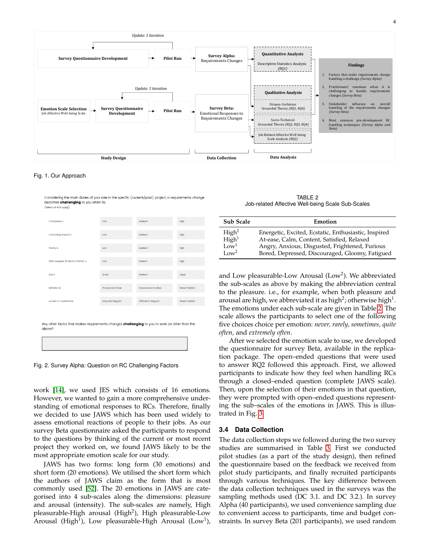

<span id="page-3-0"></span>Fig. 1. Our Approach

Considering the main duties of your role in the specfic (current/past) project a requirements change becomes challenging to you when its, (Select all that apply)

| Complexity is                                                                                        | Low               | Medium                 | High           |
|------------------------------------------------------------------------------------------------------|-------------------|------------------------|----------------|
|                                                                                                      |                   |                        |                |
| Cascading impact is                                                                                  | Low               | Medium                 | High           |
|                                                                                                      |                   |                        |                |
| Priority is                                                                                          | <b>LOW</b>        | Medium                 | High           |
|                                                                                                      |                   |                        |                |
| Effort required (in terms of time) is                                                                | Low               | Medum                  | High           |
|                                                                                                      |                   |                        |                |
| Size is                                                                                              | Small             | Medium                 | Large          |
|                                                                                                      |                   |                        |                |
| Definition is                                                                                        | Precise and Clear | Imprecise or Unclear   | Doesn't Matter |
|                                                                                                      |                   |                        |                |
| Access to Customer is                                                                                | Easy and Regular  | Difficult or Irregular | Doesn't Matter |
|                                                                                                      |                   |                        |                |
|                                                                                                      |                   |                        |                |
|                                                                                                      |                   |                        |                |
|                                                                                                      |                   |                        |                |
| Any other factor that makes requirements changes <b>challenging</b> to you to work on other than the |                   |                        |                |
| above?                                                                                               |                   |                        |                |
|                                                                                                      |                   |                        |                |
|                                                                                                      |                   |                        |                |
|                                                                                                      |                   |                        |                |
|                                                                                                      |                   |                        |                |
|                                                                                                      |                   |                        |                |

<span id="page-3-2"></span>Fig. 2. Survey Alpha: Question on RC Challenging Factors

work [\[14\]](#page-13-13), we used JES which consists of 16 emotions. However, we wanted to gain a more comprehensive understanding of emotional responses to RCs. Therefore, finally we decided to use JAWS which has been used widely to assess emotional reactions of people to their jobs. As our survey Beta questionnaire asked the participants to respond to the questions by thinking of the current or most recent project they worked on, we found JAWS likely to be the most appropriate emotion scale for our study.

JAWS has two forms: long form (30 emotions) and short form (20 emotions). We utilised the short form which the authors of JAWS claim as the form that is most commonly used [\[52\]](#page-14-34). The 20 emotions in JAWS are categorised into 4 sub-scales along the dimensions: pleasure and arousal (intensity). The sub-scales are namely, High pleasurable-High arousal (High<sup>2</sup>), High pleasurable-Low Arousal (High<sup>1</sup>), Low pleasurable-High Arousal (Low<sup>1</sup>),

TABLE 2 Job-related Affective Well-being Scale Sub-Scales

<span id="page-3-3"></span>

| Sub Scale                              | Emotion                                                                                            |
|----------------------------------------|----------------------------------------------------------------------------------------------------|
| High <sup>2</sup><br>High <sup>1</sup> | Energetic, Excited, Ecstatic, Enthusiastic, Inspired<br>At-ease, Calm, Content, Satisfied, Relaxed |
| Low <sup>1</sup><br>Low <sup>2</sup>   | Angry, Anxious, Disgusted, Frightened, Furious<br>Bored, Depressed, Discouraged, Gloomy, Fatigued  |

and Low pleasurable-Low Arousal (Low<sup>2</sup>). We abbreviated the sub-scales as above by making the abbreviation central to the pleasure. i.e., for example, when both pleasure and arousal are high, we abbreviated it as high $^2$ ; otherwise high $^1$ . The emotions under each sub-scale are given in Table [2.](#page-3-3) The scale allows the participants to select one of the following five choices choice per emotion: *never, rarely, sometimes, quite often,* and *extremely often*.

After we selected the emotion scale to use, we developed the questionnaire for survey Beta, available in the replication package. The open–ended questions that were used to answer RQ2 followed this approach. First, we allowed participants to indicate how they feel when handling RCs through a closed–ended question (complete JAWS scale). Then, upon the selection of their emotions in that question, they were prompted with open–ended questions representing the sub–scales of the emotions in JAWS. This is illustrated in Fig. [3.](#page-4-1)

#### <span id="page-3-1"></span>**3.4 Data Collection**

The data collection steps we followed during the two survey studies are summarised in Table [3.](#page-5-0) First we conducted pilot studies (as a part of the study design), then refined the questionnaire based on the feedback we received from pilot study participants, and finally recruited participants through various techniques. The key difference between the data collection techniques used in the surveys was the sampling methods used (DC 3.1. and DC 3.2.). In survey Alpha (40 participants), we used convenience sampling due to convenient access to participants, time and budget constraints. In survey Beta (201 participants), we used random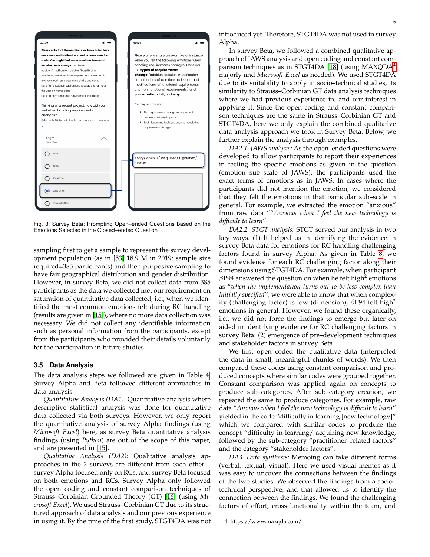

Fig. 3. Survey Beta: Prompting Open–ended Questions based on the Emotions Selected in the Closed–ended Question

<span id="page-4-1"></span>sampling first to get a sample to represent the survey development population (as in [\[53\]](#page-14-35) 18.9 M in 2019; sample size required=385 participants) and then purposive sampling to have fair geographical distribution and gender distribution. However, in survey Beta, we did not collect data from 385 participants as the data we collected met our requirement on saturation of quantitative data collected, i.e., when we identified the most common emotions felt during RC handling (results are given in [\[15\]](#page-13-14)), where no more data collection was necessary. We did not collect any identifiable information such as personal information from the participants, except from the participants who provided their details voluntarily for the participation in future studies.

#### <span id="page-4-0"></span>**3.5 Data Analysis**

The data analysis steps we followed are given in Table [4.](#page-5-1) Survey Alpha and Beta followed different approaches in data analysis.

*Quantitative Analysis (DA1):* Quantitative analysis where descriptive statistical analysis was done for quantitative data collected via both surveys. However, we only report the quantitative analysis of survey Alpha findings (using *Microsoft Excel*) here, as survey Beta quantitative analysis findings (using *Python*) are out of the scope of this paper, and are presented in [\[15\]](#page-13-14).

*Qualitative Analysis (DA2):* Qualitative analysis approaches in the 2 surveys are different from each other – survey Alpha focused only on RCs, and survey Beta focused on both emotions and RCs. Survey Alpha only followed the open coding and constant comparison techniques of Strauss–Corbinian Grounded Theory (GT) [\[16\]](#page-13-15) (using *Microsoft Excel*). We used Strauss–Corbinian GT due to its structured approach of data analysis and our previous experience in using it. By the time of the first study, STGT4DA was not

introduced yet. Therefore, STGT4DA was not used in survey Alpha.

In survey Beta, we followed a combined qualitative approach of JAWS analysis and open coding and constant com-parison techniques as in STGT4DA [\[18\]](#page-14-0) (using MAXQDA<sup>[4](#page-4-2)</sup> majorly and *Microsoft Excel* as needed). We used STGT4DA due to its suitability to apply in socio–technical studies, its similarity to Strauss–Corbinian GT data analysis techniques where we had previous experience in, and our interest in applying it. Since the open coding and constant comparison techniques are the same in Strauss–Corbinian GT and STGT4DA, here we only explain the combined qualitative data analysis approach we took in Survey Beta. Below, we further explain the analysis through examples.

*DA2.1. JAWS analysis:* As the open–ended questions were developed to allow participants to report their experiences in feeling the specific emotions as given in the question (emotion sub–scale of JAWS), the participants used the exact terms of emotions as in JAWS. In cases where the participants did not mention the emotion, we considered that they felt the emotions in that particular sub–scale in general. For example, we extracted the emotion "anxious" from raw data ""*Anxious when I feel the new technology is difficult to learn*".

*DA2.2. STGT analysis:* STGT served our analysis in two key ways. (1) It helped us in identifying the evidence in survey Beta data for emotions for RC handling challenging factors found in survey Alpha. As given in Table [8,](#page-16-0) we found evidence for each RC challenging factor along their dimensions using STGT4DA. For example, when participant  $\beta$ P94 answered the question on when he felt high $^2$  emotions as "*when the implementation turns out to be less complex than initially specified*", we were able to know that when complexity (challenging factor) is low (dimension),  $\beta P94$  felt high<sup>2</sup> emotions in general. However, we found these organically, i.e., we did not force the findings to emerge but later on aided in identifying evidence for RC challenging factors in survey Beta. (2) emergence of pre–development techniques and stakeholder factors in survey Beta.

We first open coded the qualitative data (interpreted the data in small, meaningful chunks of words). We then compared these codes using constant comparison and produced concepts where similar codes were grouped together. Constant comparison was applied again on concepts to produce sub–categories. After sub–category creation, we repeated the same to produce categories. For example, raw data "*Anxious when I feel the new technology is difficult to learn*" yielded in the code "difficulty in learning [new technology]" which we compared with similar codes to produce the concept "difficulty in learning/ acquiring new knowledge, followed by the sub-category "practitioner–related factors" and the category "stakeholder factors".

*DA3. Data synthesis:* Memoing can take different forms (verbal, textual, visual). Here we used visual memos as it was easy to uncover the connections between the findings of the two studies. We observed the findings from a socio– technical perspective, and that allowed us to identify the connection between the findings. We found the challenging factors of effort, cross-functionality within the team, and

<span id="page-4-2"></span><sup>4.</sup> https://www.maxqda.com/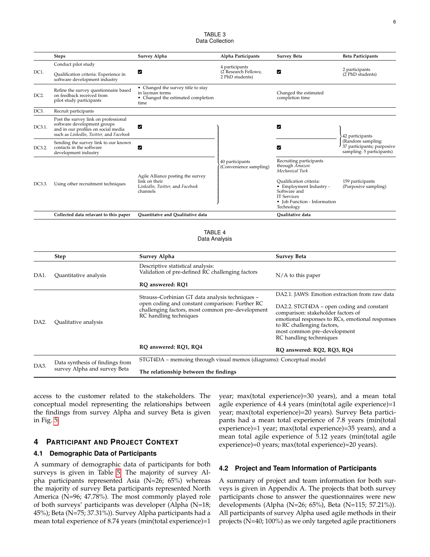#### TABLE 3 Data Collection

<span id="page-5-0"></span>

|                 | <b>Steps</b>                                                                                                                                          | Survey Alpha                                                                                        | Alpha Participants                                        | <b>Survey Beta</b>                                                                                                                                                                                     | <b>Beta Participants</b>                                                     |
|-----------------|-------------------------------------------------------------------------------------------------------------------------------------------------------|-----------------------------------------------------------------------------------------------------|-----------------------------------------------------------|--------------------------------------------------------------------------------------------------------------------------------------------------------------------------------------------------------|------------------------------------------------------------------------------|
| DC1.            | Conduct pilot study<br>Qualification criteria: Experience in<br>software development industry                                                         | М                                                                                                   | 4 participants<br>(2 Research Fellows;<br>2 PhD students) | M                                                                                                                                                                                                      | 2 participants<br>(2 PhD students)                                           |
| DC <sub>2</sub> | Refine the survey questionnaire based<br>on feedback received from<br>pilot study participants                                                        | • Changed the survey title to stay<br>in layman terms<br>• Changed the estimated completion<br>time |                                                           | Changed the estimated<br>completion time                                                                                                                                                               |                                                                              |
| DC3.            | Recruit participants                                                                                                                                  |                                                                                                     |                                                           |                                                                                                                                                                                                        |                                                                              |
| DC3.1.          | Post the survey link on professional<br>software development groups<br>and in our profiles on social media<br>such as LinkedIn, Twitter, and Facebook | М                                                                                                   |                                                           | M                                                                                                                                                                                                      | 42 participants                                                              |
| DC3.2.          | Sending the survey link to our known<br>contacts in the software<br>development industry                                                              | М                                                                                                   |                                                           | M                                                                                                                                                                                                      | (Random sampling:<br>37 participants; purposive<br>sampling: 5 participants) |
| DC3.3.          | Using other recruitment techniques                                                                                                                    | Agile Alliance posting the survey<br>link on their<br>LinkedIn, Twitter, and Facebook<br>channels   | 40 participants<br>(Convenience sampling)                 | Recruiting participants<br>through Amazon<br>Mechanical Turk<br>Qualification criteria:<br>• Employment Industry -<br>Software and<br><b>IT Services</b><br>• Job Function - Information<br>Technology | 159 participants<br>(Purposive sampling)                                     |
|                 | Collected data relavant to this paper                                                                                                                 | <b>Ouantitatve and Oualitative data</b>                                                             |                                                           | <b>Oualitative</b> data                                                                                                                                                                                |                                                                              |

TABLE 4 Data Analysis

<span id="page-5-1"></span>

|                   | <b>Step</b>                                                                                                                                           | Survey Alpha                                                                          | <b>Survey Beta</b>                                                                                                                                                                                                         |  |
|-------------------|-------------------------------------------------------------------------------------------------------------------------------------------------------|---------------------------------------------------------------------------------------|----------------------------------------------------------------------------------------------------------------------------------------------------------------------------------------------------------------------------|--|
| DA1.              | Quantitative analysis                                                                                                                                 | Descriptive statistical analysis:<br>Validation of pre-defined RC challenging factors | $N/A$ to this paper                                                                                                                                                                                                        |  |
|                   |                                                                                                                                                       | RQ answered: RQ1                                                                      |                                                                                                                                                                                                                            |  |
| DA <sub>2</sub> . |                                                                                                                                                       | Strauss-Corbinian GT data analysis techniques -                                       | DA2.1. JAWS: Emotion extraction from raw data                                                                                                                                                                              |  |
|                   | open coding and constant comparison: Further RC<br>challenging factors, most common pre-development<br>RC handling techniques<br>Qualitative analysis |                                                                                       | DA2.2. STGT4DA – open coding and constant<br>comparison: stakeholder factors of<br>emotional responses to RCs, emotional responses<br>to RC challenging factors,<br>most common pre-development<br>RC handling technniques |  |
|                   |                                                                                                                                                       | RQ answered: RQ1, RQ4                                                                 | RQ answered: RQ2, RQ3, RQ4                                                                                                                                                                                                 |  |
| DA3.              | Data synthesis of findings from                                                                                                                       | STGT4DA – memoing through visual memos (diagrams): Conceptual model                   |                                                                                                                                                                                                                            |  |
|                   | survey Alpha and survey Beta                                                                                                                          | The relationship between the findings                                                 |                                                                                                                                                                                                                            |  |

access to the customer related to the stakeholders. The conceptual model representing the relationships between the findings from survey Alpha and survey Beta is given in Fig. [5.](#page-11-0)

## **4 PARTICIPANT AND PROJECT CONTEXT**

#### **4.1 Demographic Data of Participants**

A summary of demographic data of participants for both surveys is given in Table [5.](#page-6-0) The majority of survey Alpha participants represented Asia (N=26; 65%) whereas the majority of survey Beta participants represented North America (N=96; 47.78%). The most commonly played role of both surveys' participants was developer (Alpha (N=18; 45%); Beta (N=75; 37.31%)). Survey Alpha participants had a mean total experience of 8.74 years (min(total experience)=1 year; max(total experience)=30 years), and a mean total agile experience of 4.4 years (min(total agile experience)=1 year; max(total experience)=20 years). Survey Beta participants had a mean total experience of 7.8 years (min(total experience)=1 year; max(total experience)=35 years), and a mean total agile experience of 5.12 years (min(total agile experience)=0 years; max(total experience)=20 years).

#### **4.2 Project and Team Information of Participants**

A summary of project and team information for both surveys is given in Appendix A. The projects that both survey participants chose to answer the questionnaires were new developments (Alpha (N=26; 65%), Beta (N=115; 57.21%)). All participants of survey Alpha used agile methods in their projects (N=40; 100%) as we only targeted agile practitioners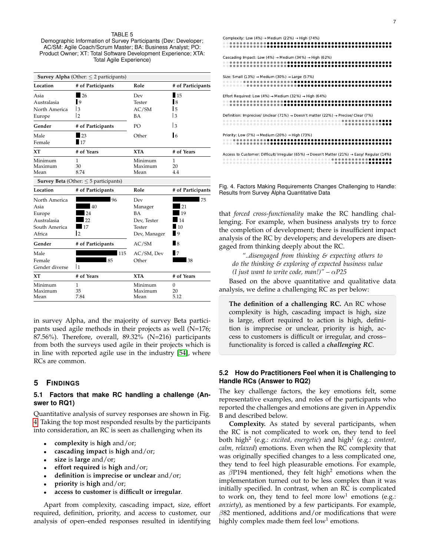#### TABLE 5

<span id="page-6-0"></span>Demographic Information of Survey Participants (Dev: Developer; AC/SM: Agile Coach/Scrum Master; BA: Business Analyst; PO: Product Owner; XT: Total Software Development Experience; XTA: Total Agile Experience)

| <b>Survey Alpha</b> (Other: $\leq$ 2 participants) |                                                   |         |                   |  |
|----------------------------------------------------|---------------------------------------------------|---------|-------------------|--|
| Location                                           | # of Participants                                 | Role    | # of Participants |  |
| Asia                                               | 26                                                | Dev     | $\blacksquare$ 15 |  |
| Australasia                                        | $\mathbf{I}$                                      | Tester  | 18                |  |
| North America                                      | 3                                                 | AC/SM   | 5                 |  |
| Europe                                             | $\overline{2}$                                    | ВA      | 3                 |  |
| Gender                                             | # of Participants                                 | PО      | 13                |  |
| Male                                               | 23                                                | Other   | $\overline{16}$   |  |
| Female                                             | 17                                                |         |                   |  |
| ХT                                                 | # of Years                                        | XTA     | # of Years        |  |
| Minimum                                            | 1                                                 | Minimum | 1                 |  |
| Maximum                                            | 30                                                | Maximum | 20                |  |
| Mean                                               | 8.74                                              | Mean    | 4.4               |  |
|                                                    | <b>Survey Beta</b> (Other: $\leq$ 5 participants) |         |                   |  |

**Location # of Participants Role # of Participants** North America **196** Dev **196** Dev 75<br>Asia 1969 Manager 21 Asia  $\begin{array}{ccc} 40 & 40 \\ 24 & BA \end{array}$  Manager Europe 24 BA 19 Australasia **12** 22 Dev, Tester 14<br> **14** South America 17 17 Tester 10 South America 17 Tester Africa 2 Dev, Manager Gender # of Participants AC/SM 8 Male 115 AC/SM, Dev 7<br>Female 15 85 Other Female 38 Other 38 Gender diverse |1 **XT # of Years XTA # of Years** Minimum 1 1 Minimum 0<br>135 Maximum 20 Maximum 35 Maximum 20 Mean 7.84 Mean 5.12

in survey Alpha, and the majority of survey Beta participants used agile methods in their projects as well (N=176; 87.56%). Therefore, overall, 89.32% (N=216) participants from both the surveys used agile in their projects which is in line with reported agile use in the industry [\[54\]](#page-14-36), where RCs are common.

#### **5 FINDINGS**

#### <span id="page-6-2"></span>**5.1 Factors that make RC handling a challenge (Answer to RQ1)**

Quantitative analysis of survey responses are shown in Fig. [4.](#page-6-1) Taking the top most responded results by the participants into consideration, an RC is seen as challenging when its

- **complexity** is **high** and/or;
- **cascading impact** is **high** and/or;
- **size** is **large** and/or;
- **effort required** is **high** and/or;
- **definition** is **imprecise or unclear** and/or;
- **priority** is **high** and/or;
- **access to customer** is **difficult or irregular**.

Apart from complexity, cascading impact, size, effort required, definition, priority, and access to customer, our analysis of open–ended responses resulted in identifying

| Complexity: Low (4%) $\rightarrow$ Medium (22%) $\rightarrow$ High (74%)                                            |
|---------------------------------------------------------------------------------------------------------------------|
| Cascading Impact: Low (4%) $\rightarrow$ Medium (34%) $\rightarrow$ High (62%)                                      |
| Size: Small (13%) $\rightarrow$ Medium (30%) $\rightarrow$ Large (57%)                                              |
| Effort Required: Low (4%) $\rightarrow$ Medium (32%) $\rightarrow$ High (64%)                                       |
| Definition: Imprecise/ Unclear (71%) $\rightarrow$ Doesn't matter (22%) $\rightarrow$ Precise/ Clear (7%)           |
| Priority: Low (7%) $\rightarrow$ Medium (20%) $\rightarrow$ High (73%)                                              |
| Access to Customer: Difficult/ Irregular (65%) $\rightarrow$ Doesn't Matter (21%) $\rightarrow$ Easy/ Regular (14%) |

<span id="page-6-1"></span>Fig. 4. Factors Making Requirements Changes Challenging to Handle: Results from Survey Alpha Quantitative Data

that *forced cross-functionality* make the RC handling challenging. For example, when business analysts try to force the completion of development; there is insufficient impact analysis of the RC by developers; and developers are disengaged from thinking deeply about the RC.

*"..disengaged from thinking & expecting others to do the thinking & exploring of expected business value (I just want to write code, man!)"* –  $\alpha P25$ 

Based on the above quantitative and qualitative data analysis, we define a challenging RC as per below:

**The definition of a challenging RC.** An RC whose complexity is high, cascading impact is high, size is large, effort required to action is high, definition is imprecise or unclear, priority is high, access to customers is difficult or irregular, and cross– functionality is forced is called a *challenging RC*.

#### **5.2 How do Practitioners Feel when it is Challenging to Handle RCs (Answer to RQ2)**

The key challenge factors, the key emotions felt, some representative examples, and roles of the participants who reported the challenges and emotions are given in Appendix B and described below.

**Complexity.** As stated by several participants, when the RC is not complicated to work on, they tend to feel both high<sup>2</sup> (e.g.: *excited, energetic*) and high<sup>1</sup> (e.g.: *content, calm, relaxed*) emotions. Even when the RC complexity that was originally specified changes to a less complicated one, they tend to feel high pleasurable emotions. For example, as  $\beta$ P194 mentioned, they felt high<sup>2</sup> emotions when the implementation turned out to be less complex than it was initially specified. In contrast, when an RC is complicated to work on, they tend to feel more  $low<sup>1</sup>$  emotions (e.g.: *anxiety*), as mentioned by a few participants. For example,  $\beta$ 82 mentioned, additions and/or modifications that were highly complex made them feel low $^1$  emotions.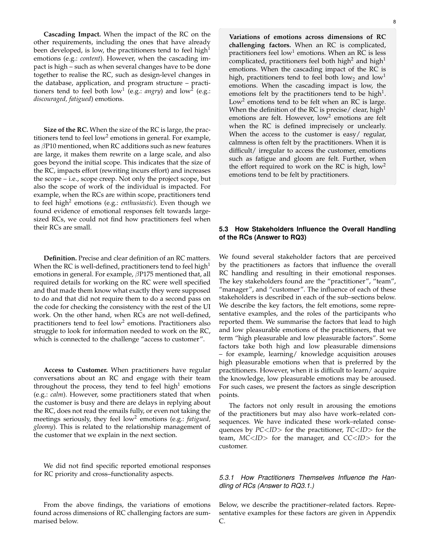**Cascading Impact.** When the impact of the RC on the other requirements, including the ones that have already been developed, is low, the practitioners tend to feel high<sup>1</sup> emotions (e.g.: *content*). However, when the cascading impact is high – such as when several changes have to be done together to realise the RC, such as design-level changes in the database, application, and program structure – practitioners tend to feel both  $\text{low}^1$  (e.g.: angry) and  $\text{low}^2$  (e.g.: *discouraged, fatigued*) emotions.

**Size of the RC.** When the size of the RC is large, the practitioners tend to feel low<sup>2</sup> emotions in general. For example, as  $\beta$ P10 mentioned, when RC additions such as new features are large, it makes them rewrite on a large scale, and also goes beyond the initial scope. This indicates that the size of the RC, impacts effort (rewriting incurs effort) and increases the scope – i.e., scope creep. Not only the project scope, but also the scope of work of the individual is impacted. For example, when the RCs are within scope, practitioners tend to feel high<sup>2</sup> emotions (e.g.: *enthusiastic*). Even though we found evidence of emotional responses felt towards largesized RCs, we could not find how practitioners feel when their RCs are small.

**Definition.** Precise and clear definition of an RC matters. When the RC is well-defined, practitioners tend to feel high<sup>1</sup> emotions in general. For example,  $\beta$ P175 mentioned that, all required details for working on the RC were well specified and that made them know what exactly they were supposed to do and that did not require them to do a second pass on the code for checking the consistency with the rest of the UI work. On the other hand, when RCs are not well-defined, practitioners tend to feel low<sup>2</sup> emotions. Practitioners also struggle to look for information needed to work on the RC, which is connected to the challenge "access to customer".

**Access to Customer.** When practitioners have regular conversations about an RC and engage with their team throughout the process, they tend to feel high $1$  emotions (e.g.: *calm*). However, some practitioners stated that when the customer is busy and there are delays in replying about the RC, does not read the emails fully, or even not taking the meetings seriously, they feel low<sup>2</sup> emotions (e.g.: *fatigued*, *gloomy*). This is related to the relationship management of the customer that we explain in the next section.

We did not find specific reported emotional responses for RC priority and cross–functionality aspects.

From the above findings, the variations of emotions found across dimensions of RC challenging factors are summarised below.

**Variations of emotions across dimensions of RC challenging factors.** When an RC is complicated, practitioners feel low<sup>1</sup> emotions. When an RC is less complicated, practitioners feel both high<sup>2</sup> and high<sup>1</sup> emotions. When the cascading impact of the RC is high, practitioners tend to feel both  $low_2$  and  $low_1$ emotions. When the cascading impact is low, the emotions felt by the practitioners tend to be high<sup>1</sup>. Low<sup>2</sup> emotions tend to be felt when an RC is large. When the definition of the RC is precise/ clear, high<sup>1</sup> emotions are felt. However, low<sup>2</sup> emotions are felt when the RC is defined imprecisely or unclearly. When the access to the customer is easy/ regular, calmness is often felt by the practitioners. When it is difficult/ irregular to access the customer, emotions such as fatigue and gloom are felt. Further, when the effort required to work on the RC is high,  $low<sup>2</sup>$ emotions tend to be felt by practitioners.

#### <span id="page-7-0"></span>**5.3 How Stakeholders Influence the Overall Handling of the RCs (Answer to RQ3)**

We found several stakeholder factors that are perceived by the practitioners as factors that influence the overall RC handling and resulting in their emotional responses. The key stakeholders found are the "practitioner", "team", "manager", and "customer". The influence of each of these stakeholders is described in each of the sub–sections below. We describe the key factors, the felt emotions, some representative examples, and the roles of the participants who reported them. We summarise the factors that lead to high and low pleasurable emotions of the practitioners, that we term "high pleasurable and low pleasurable factors". Some factors take both high and low pleasurable dimensions – for example, learning/ knowledge acquisition arouses high pleasurable emotions when that is preferred by the practitioners. However, when it is difficult to learn/ acquire the knowledge, low pleasurable emotions may be aroused. For such cases, we present the factors as single description points.

The factors not only result in arousing the emotions of the practitioners but may also have work–related consequences. We have indicated these work–related consequences by *PC*<*ID*> for the practitioner, *TC*<*ID*> for the team, *MC*<*ID*> for the manager, and *CC*<*ID*> for the customer.

## *5.3.1 How Practitioners Themselves Influence the Handling of RCs (Answer to RQ3.1.)*

Below, we describe the practitioner–related factors. Representative examples for these factors are given in Appendix C.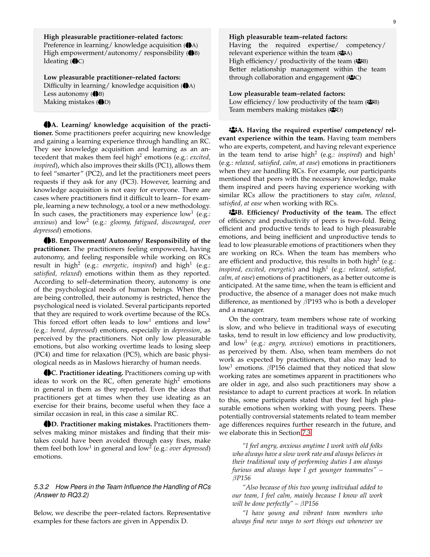**High pleasurable practitioner–related factors:** Preference in learning/ knowledge acquisition ( $\bigcirc$ A) High empowerment/autonomy/ responsibility  $(\bigoplus B)$ Ideating  $(\bigoplus C)$ 

**Low pleasurable practitioner–related factors:** Difficulty in learning/ knowledge acquisition  $(\bigoplus A)$ Less autonomy  $(\bigoplus B)$ Making mistakes  $(\bigoplus D)$ 

 $\bigoplus$ **A.** Learning/ knowledge acquisition of the practi**tioner.** Some practitioners prefer acquiring new knowledge and gaining a learning experience through handling an RC. They see knowledge acquisition and learning as an antecedent that makes them feel high<sup>2</sup> emotions (e.g.: *excited, inspired*), which also improves their skills (PC1), allows them to feel "smarter" (PC2), and let the practitioners meet peers requests if they ask for any (PC3). However, learning and knowledge acquisition is not easy for everyone. There are cases where practitioners find it difficult to learn– for example, learning a new technology, a tool or a new methodology. In such cases, the practitioners may experience  $\text{low}^1$  (e.g.: *anxious*) and low<sup>2</sup> (e.g.: *gloomy, fatigued, discouraged, over depressed*) emotions.

**HB. Empowerment/ Autonomy/ Responsibility of the practitioner.** The practitioners feeling empowered, having autonomy, and feeling responsible while working on RCs result in high<sup>2</sup> (e.g.: *energetic, inspired*) and high<sup>1</sup> (e.g.: *satisfied, relaxed*) emotions within them as they reported. According to self–determination theory, autonomy is one of the psychological needs of human beings. When they are being controlled, their autonomy is restricted, hence the psychological need is violated. Several participants reported that they are required to work overtime because of the RCs. This forced effort often leads to  $low<sup>1</sup>$  emtions and  $low<sup>2</sup>$ (e.g.: *bored, depressed*) emotions, especially in *depression*, as perceived by the practitioners. Not only low pleasurable emotions, but also working overtime leads to losing sleep (PC4) and time for relaxation (PC5), which are basic physiological needs as in Maslows hierarchy of human needs.

 $\bigoplus$ **C. Practitioner ideating.** Practitioners coming up with ideas to work on the RC, often generate high<sup>2</sup> emotions in general in them as they reported. Even the ideas that practitioners get at times when they use ideating as an exercise for their brains, become useful when they face a similar occasion in real, in this case a similar RC.

 $\bigoplus$ **D. Practitioner making mistakes.** Practitioners themselves making minor mistakes and finding that their mistakes could have been avoided through easy fixes, make them feel both low<sup>1</sup> in general and low<sup>2</sup> (e.g.: *over depressed*) emotions.

#### *5.3.2 How Peers in the Team Influence the Handling of RCs (Answer to RQ3.2)*

Below, we describe the peer–related factors. Representative examples for these factors are given in Appendix D.

#### **High pleasurable team–related factors:**

Having the required expertise/ competency/ relevant experience within the team  $(2A)$ High efficiency/ productivity of the team  $(*\rightarrow B)$ Better relationship management within the team through collaboration and engagement  $(*S\subset\subset)$ 

**Low pleasurable team–related factors:** Low efficiency/ low productivity of the team  $(\triangle B)$ Team members making mistakes (م

**<sup>2</sup>A. Having the required expertise/ competency/ relevant experience within the team.** Having team members who are experts, competent, and having relevant experience in the team tend to arise high<sup>2</sup> (e.g.: *inspired*) and high<sup>1</sup> (e.g.: *relaxed, satisfied, calm, at ease*) emotions in practitioners when they are handling RCs. For example, our participants mentioned that peers with the necessary knowledge, make them inspired and peers having experience working with similar RCs allow the practitioners to stay *calm, relaxed, satisfied, at ease* when working with RCs.

**EB.** Efficiency/ Productivity of the team. The effect of efficiency and productivity of peers is two–fold. Being efficient and productive tends to lead to high pleasurable emotions, and being inefficient and unproductive tends to lead to low pleasurable emotions of practitioners when they are working on RCs. When the team has members who are efficient and productive, this results in both high<sup>2</sup> (e.g.: *inspired, excited, energetic*) and high<sup>1</sup> (e.g.: *relaxed, satisfied, calm, at ease*) emotions of practitioners, as a better outcome is anticipated. At the same time, when the team is efficient and productive, the absence of a manager does not make much difference, as mentioned by  $\beta$ P193 who is both a developer and a manager.

On the contrary, team members whose rate of working is slow, and who believe in traditional ways of executing tasks, tend to result in low efficiency and low productivity, and low<sup>1</sup> (e.g.: *angry, anxious*) emotions in practitioners, as perceived by them. Also, when team members do not work as expected by practitioners, that also may lead to low<sup>1</sup> emotions.  $\beta$ P156 claimed that they noticed that slow working rates are sometimes apparent in practitioners who are older in age, and also such practitioners may show a resistance to adapt to current practices at work. In relation to this, some participants stated that they feel high pleasurable emotions when working with young peers. These potentially controversial statements related to team member age differences requires further research in the future, and we elaborate this in Section [7.3.](#page-11-1)

*"I feel angry, anxious anytime I work with old folks who always have a slow work rate and always believes in their traditional way of performing duties I am always furious and always hope I get younger teammates" –* β*P156*

*"Also because of this two young individual added to our team, I feel calm, mainly because I know all work will be done perfectly" –* β*P156*

*"I have young and vibrant team members who always find new ways to sort things out whenever we*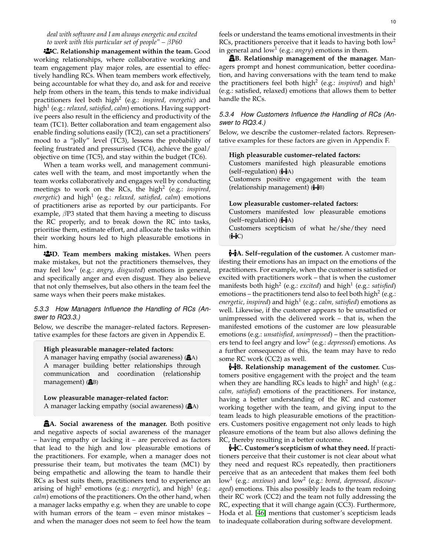*deal with software and I am always energetic and excited to work with this particular set of people" –* β*P60*

¯**C. Relationship management within the team.** Good working relationships, where collaborative working and team engagement play major roles, are essential to effectively handling RCs. When team members work effectively, being accountable for what they do, and ask for and receive help from others in the team, this tends to make individual practitioners feel both high<sup>2</sup> (e.g.: *inspired, energetic*) and high<sup>1</sup> (e.g.: *relaxed, satisfied, calm*) emotions. Having supportive peers also result in the efficiency and productivity of the team (TC1). Better collaboration and team engagement also enable finding solutions easily (TC2), can set a practitioners' mood to a "jolly" level (TC3), lessens the probability of feeling frustrated and pressurised (TC4), achieve the goal/ objective on time (TC5), and stay within the budget (TC6).

When a team works well, and management communicates well with the team, and most importantly when the team works collaboratively and engages well by conducting meetings to work on the RCs, the high<sup>2</sup> (e.g.: *inspired, energetic*) and high<sup>1</sup> (e.g.: *relaxed, satisfied, calm*) emotions of practitioners arise as reported by our participants. For example,  $\beta$ P3 stated that them having a meeting to discuss the RC properly, and to break down the RC into tasks, prioritise them, estimate effort, and allocate the tasks within their working hours led to high pleasurable emotions in him.

¯**D. Team members making mistakes.** When peers make mistakes, but not the practitioners themselves, they may feel low<sup>1</sup> (e.g.: *angry, disgusted*) emotions in general, and specifically anger and even disgust. They also believe that not only themselves, but also others in the team feel the same ways when their peers make mistakes.

#### *5.3.3 How Managers Influence the Handling of RCs (Answer to RQ3.3.)*

Below, we describe the manager–related factors. Representative examples for these factors are given in Appendix E.

#### **High pleasurable manager–related factors:**

A manager having empathy (social awareness) ( $\mathbf{\hat{\mathbf{\hat{m}}}}$ A) A manager building better relationships through communication and coordination (relationship management)  $(\mathbf{\hat{\mathbf{\hat{m}}}}B)$ 

#### **Low pleasurable manager–related factor:**

A manager lacking empathy (social awareness) ( $\mathbf{\hat{\mathbf{\hat{m}}}}$ A)

±**A. Social awareness of the manager.** Both positive and negative aspects of social awareness of the manager – having empathy or lacking it – are perceived as factors that lead to the high and low pleasurable emotions of the practitioners. For example, when a manager does not pressurise their team, but motivates the team (MC1) by being empathetic and allowing the team to handle their RCs as best suits them, practitioners tend to experience an arising of high<sup>2</sup> emotions (e.g.: *energetic*), and high<sup>1</sup> (e.g.: *calm*) emotions of the practitioners. On the other hand, when a manager lacks empathy e.g. when they are unable to cope with human errors of the team – even minor mistakes – and when the manager does not seem to feel how the team

in general and  $\text{low}^1$  (e.g.: *angry*) emotions in them. ±**B. Relationship management of the manager.** Managers prompt and honest communication, better coordination, and having conversations with the team tend to make the practitioners feel both high<sup>2</sup> (e.g.: *inspired*) and high<sup>1</sup> (e.g.: satisfied, relaxed) emotions that allows them to better handle the RCs.

#### *5.3.4 How Customers Influence the Handling of RCs (Answer to RQ3.4.)*

Below, we describe the customer–related factors. Representative examples for these factors are given in Appendix F.

#### **High pleasurable customer–related factors:** Customers manifested high pleasurable emotions (self–regulation)  $(\leftrightarrow A)$

Customers positive engagement with the team (relationship management)  $(\leftrightarrow B)$ 

#### **Low pleasurable customer–related factors:**

Customers manifested low pleasurable emotions (self–regulation)  $(\leftrightarrow A)$ Customers scepticism of what he/she/they need  $(\mathbf{\dot{F}}\mathbf{\dot{C}})$ 

{**A. Self–regulation of the customer.** A customer manifesting their emotions has an impact on the emotions of the practitioners. For example, when the customer is satisfied or excited with practitioners work – that is when the customer manifests both high<sup>2</sup> (e.g.: *excited*) and high<sup>1</sup> (e.g.: *satisfied*) emotions – the practitioners tend also to feel both high $^2$  (e.g.: *energetic, inspired*) and high<sup>1</sup> (e.g.: *calm, satisfied*) emotions as well. Likewise, if the customer appears to be unsatisfied or unimpressed with the delivered work – that is, when the manifested emotions of the customer are low pleasurable emotions (e.g.: *unsatisfied, unimpressed*) – then the practitioners tend to feel angry and low<sup>2</sup> (e.g.: *depressed*) emotions. As a further consequence of this, the team may have to redo some RC work (CC2) as well.

{**B. Relationship management of the customer.** Customers positive engagement with the project and the team when they are handling RCs leads to high<sup>2</sup> and high<sup>1</sup> (e.g.: *calm, satisfied*) emotions of the practitioners. For instance, having a better understanding of the RC and customer working together with the team, and giving input to the team leads to high pleasurable emotions of the practitioners. Customers positive engagement not only leads to high pleasure emotions of the team but also allows defining the RC, thereby resulting in a better outcome.

{**C. Customer's scepticism of what they need.** If practitioners perceive that their customer is not clear about what they need and request RCs repeatedly, then practitioners perceive that as an antecedent that makes them feel both low<sup>1</sup> (e.g.: *anxious*) and low<sup>2</sup> (e.g.: *bored, depressed, discouraged*) emotions. This also possibly leads to the team redoing their RC work (CC2) and the team not fully addressing the RC, expecting that it will change again (CC3). Furthermore, Hoda et al. [\[46\]](#page-14-28) mentions that customer's scepticism leads to inadequate collaboration during software development.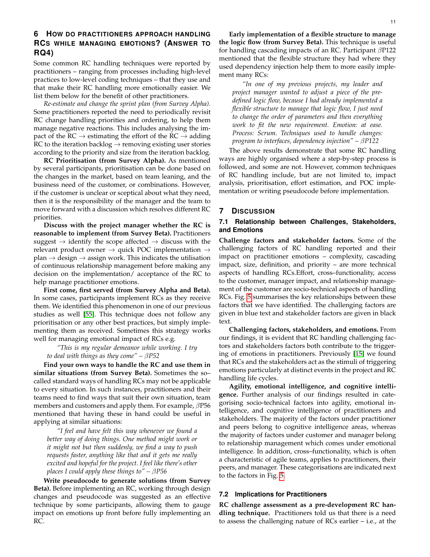## **6 HOW DO PRACTITIONERS APPROACH HANDLING RCS WHILE MANAGING EMOTIONS? (ANSWER TO RQ4)**

Some common RC handling techniques were reported by practitioners – ranging from processes including high-level practices to low-level coding techniques – that they use and that make their RC handling more emotionally easier. We list them below for the benefit of other practitioners.

*Re-estimate and change the sprint plan (from Survey Alpha).* Some practitioners reported the need to periodically revisit RC change handling priorities and ordering, to help them manage negative reactions. This includes analysing the impact of the RC  $\rightarrow$  estimating the effort of the RC  $\rightarrow$  adding RC to the iteration backlog  $\rightarrow$  removing existing user stories according to the priority and size from the iteration backlog.

**RC Prioritisation (from Survey Alpha).** As mentioned by several participants, prioritisation can be done based on the changes in the market, based on team leaning, and the business need of the customer, or combinations. However, if the customer is unclear or sceptical about what they need, then it is the responsibility of the manager and the team to move forward with a discussion which resolves different RC priorities.

**Discuss with the project manager whether the RC is reasonable to implement (from Survey Beta).** Practitioners suggest  $\rightarrow$  identify the scope affected  $\rightarrow$  discuss with the relevant product owner  $\rightarrow$  quick POC implementation  $\rightarrow$ plan  $\rightarrow$  design  $\rightarrow$  assign work. This indicates the utilisation of continuous relationship management before making any decision on the implementation/ acceptance of the RC to help manage practitioner emotions.

**First come, first served (from Survey Alpha and Beta).** In some cases, participants implement RCs as they receive them. We identified this phenomenon in one of our previous studies as well [\[55\]](#page-14-37). This technique does not follow any prioritisation or any other best practices, but simply implementing them as received. Sometimes this strategy works well for managing emotional impact of RCs e.g.

*"This is my regular demeanor while working. I try to deal with things as they come" –* β*P52*

**Find your own ways to handle the RC and use them in similar situations (from Survey Beta).** Sometimes the so– called standard ways of handling RCs may not be applicable to every situation. In such instances, practitioners and their teams need to find ways that suit their own situation, team members and customers and apply them. For example,  $\beta$ P56 mentioned that having these in hand could be useful in applying at similar situations:

*"I feel and have felt this way whenever we found a better way of doing things. One method might work or it might not but then suddenly, we find a way to push requests faster, anything like that and it gets me really excited and hopeful for the project. I feel like there's other places I could apply these things to" –* β*P56*

**Write pseudocode to generate solutions (from Survey Beta).** Before implementing an RC, working through design changes and pseudocode was suggested as an effective technique by some participants, allowing them to gauge impact on emotions up front before fully implementing an RC.

**Early implementation of a flexible structure to manage the logic flow (from Survey Beta).** This technique is useful for handling cascading impacts of an RC. Participant  $\beta$ P122 mentioned that the flexible structure they had where they used dependency injection help them to more easily implement many RCs:

*"In one of my previous projects, my leader and project manager wanted to adjust a piece of the predefined logic flow, because I had already implemented a flexible structure to manage that logic flow, I just need to change the order of parameters and then everything work to fit the new requirement. Emotion: at ease. Process: Scrum. Techniques used to handle changes: program to interfaces, dependency injection" –* β*P122*

The above results demonstrate that some RC handling ways are highly organised where a step-by-step process is followed, and some are not. However, common techniques of RC handling include, but are not limited to, impact analysis, prioritisation, effort estimation, and POC implementation or writing pseudocode before implementation.

### **7 DISCUSSION**

#### **7.1 Relationship between Challenges, Stakeholders, and Emotions**

**Challenge factors and stakeholder factors.** Some of the challenging factors of RC handling reported and their impact on practitioner emotions – complexity, cascading impact, size, definition, and priority – are more technical aspects of handling RCs.Effort, cross–functionality, access to the customer, manager impact, and relationship management of the customer are socio-technical aspects of handling RCs. Fig. [5](#page-11-0) summarises the key relationships between these factors that we have identified. The challenging factors are given in blue text and stakeholder factors are given in black text.

**Challenging factors, stakeholders, and emotions.** From our findings, it is evident that RC handling challenging factors and stakeholders factors both contribute to the triggering of emotions in practitioners. Previously [\[15\]](#page-13-14) we found that RCs and the stakeholders act as the stimuli of triggering emotions particularly at distinct events in the project and RC handling life cycles.

**Agility, emotional intelligence, and cognitive intelligence.** Further analysis of our findings resulted in categorising socio-technical factors into agility, emotional intelligence, and cognitive intelligence of practitioners and stakeholders. The majority of the factors under practitioner and peers belong to cognitive intelligence areas, whereas the majority of factors under customer and manager belong to relationship management which comes under emotional intelligence. In addition, cross–functionality, which is often a characteristic of agile teams, applies to practitioners, their peers, and manager. These categorisations are indicated next to the factors in Fig. [5.](#page-11-0)

#### <span id="page-10-0"></span>**7.2 Implications for Practitioners**

**RC challenge assessment as a pre-development RC handling technique.** Practitioners told us that there is a need to assess the challenging nature of RCs earlier – i.e., at the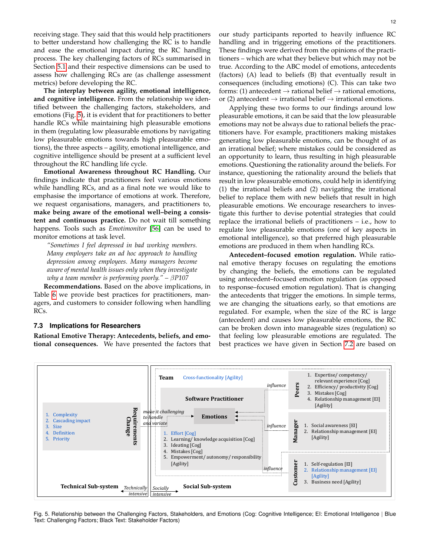receiving stage. They said that this would help practitioners to better understand how challenging the RC is to handle and ease the emotional impact during the RC handling process. The key challenging factors of RCs summarised in Section [5.1](#page-6-2) and their respective dimensions can be used to assess how challenging RCs are (as challenge assessment metrics) before developing the RC.

**The interplay between agility, emotional intelligence, and cognitive intelligence.** From the relationship we identified between the challenging factors, stakeholders, and emotions (Fig. [5\)](#page-11-0), it is evident that for practitioners to better handle RCs while maintaining high pleasurable emotions in them (regulating low pleasurable emotions by navigating low pleasurable emotions towards high pleasurable emotions), the three aspects – agility, emotional intelligence, and cognitive intelligence should be present at a sufficient level throughout the RC handling life cycle.

**Emotional Awareness throughout RC Handling.** Our findings indicate that practitioners feel various emotions while handling RCs, and as a final note we would like to emphasise the importance of emotions at work. Therefore, we request organisations, managers, and practitioners to, **make being aware of the emotional well–being a consistent and continuous practice.** Do not wait till something happens. Tools such as *Emotimonitor* [\[56\]](#page-14-38) can be used to monitor emotions at task level.

*"Sometimes I feel depressed in bad working members. Many employers take an ad hoc approach to handling depression among employees. Many managers become aware of mental health issues only when they investigate why a team member is performing poorly." –* β*P107*

**Recommendations.** Based on the above implications, in Table [6](#page-12-0) we provide best practices for practitioners, managers, and customers to consider following when handling RCs.

#### <span id="page-11-1"></span>**7.3 Implications for Researchers**

**Rational Emotive Therapy: Antecedents, beliefs, and emotional consequences.** We have presented the factors that our study participants reported to heavily influence RC handling and in triggering emotions of the practitioners. These findings were derived from the opinions of the practitioners – which are what they believe but which may not be true. According to the ABC model of emotions, antecedents (factors) (A) lead to beliefs (B) that eventually result in consequences (including emotions) (C). This can take two forms: (1) antecedent  $\rightarrow$  rational belief  $\rightarrow$  rational emotions, or (2) antecedent  $\rightarrow$  irrational belief  $\rightarrow$  irrational emotions.

Applying these two forms to our findings around low pleasurable emotions, it can be said that the low pleasurable emotions may not be always due to rational beliefs the practitioners have. For example, practitioners making mistakes generating low pleasurable emotions, can be thought of as an irrational belief; where mistakes could be considered as an opportunity to learn, thus resulting in high pleasurable emotions. Questioning the rationality around the beliefs. For instance, questioning the rationality around the beliefs that result in low pleasurable emotions, could help in identifying (1) the irrational beliefs and (2) navigating the irrational belief to replace them with new beliefs that result in high pleasurable emotions. We encourage researchers to investigate this further to devise potential strategies that could replace the irrational beliefs of practitioners – i.e., how to regulate low pleasurable emotions (one of key aspects in emotional intelligence), so that preferred high pleasurable emotions are produced in them when handling RCs.

**Antecedent–focused emotion regulation.** While rational emotive therapy focuses on regulating the emotions by changing the beliefs, the emotions can be regulated using antecedent–focused emotion regulation (as opposed to response–focused emotion regulation). That is changing the antecedents that trigger the emotions. In simple terms, we are changing the situations early, so that emotions are regulated. For example, when the size of the RC is large (antecedent) and causes low pleasurable emotions, the RC can be broken down into manageable sizes (regulation) so that feeling low pleasurable emotions are regulated. The best practices we have given in Section [7.2](#page-10-0) are based on



<span id="page-11-0"></span>Fig. 5. Relationship between the Challenging Factors, Stakeholders, and Emotions (Cog: Cognitive Intelligence; EI: Emotional Intelligence | Blue Text: Challenging Factors; Black Text: Stakeholder Factors)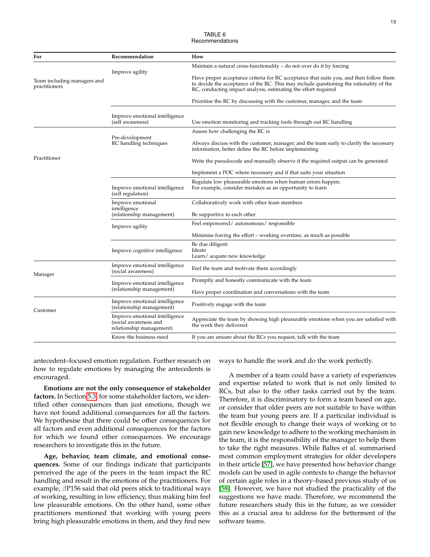TARI F 6 Recommendations

<span id="page-12-0"></span>

| For                                          | Recommendation                                                                      | How                                                                                                                                                                                                                                                 |
|----------------------------------------------|-------------------------------------------------------------------------------------|-----------------------------------------------------------------------------------------------------------------------------------------------------------------------------------------------------------------------------------------------------|
|                                              |                                                                                     | Maintain a natural cross-functionality – do not over do it by forcing                                                                                                                                                                               |
| Team including managers and<br>practitioners | Improve agility                                                                     | Have proper acceptance criteria for RC acceptance that suits you, and then follow them<br>to decide the acceptance of the RC. This may include questioning the rationality of the<br>RC, conducting impact analysis, estimating the effort required |
|                                              |                                                                                     | Prioritise the RC by discussing with the customer, manager, and the team                                                                                                                                                                            |
|                                              | Improve emotional intelligence<br>(self awareness)                                  | Use emotion monitoring and tracking tools through out RC handling                                                                                                                                                                                   |
|                                              |                                                                                     | Assess how challenging the RC is                                                                                                                                                                                                                    |
|                                              | Pre-development<br>RC handling techniques                                           | Always discuss with the customer, manager, and the team early to clarify the necessary<br>information, better define the RC before implementing                                                                                                     |
| Practitioner                                 |                                                                                     | Write the pseudocode and manually observe if the required output can be generated                                                                                                                                                                   |
|                                              |                                                                                     | Implement a POC where necessary and if that suits your situation                                                                                                                                                                                    |
|                                              | Improve emotional intelligence<br>(self regulation)                                 | Regulate low pleasurable emotions when human errors happen.<br>For example, consider mistakes as an opportunity to learn                                                                                                                            |
|                                              | Improve emotional<br>intelligence<br>(relationship management)                      | Collaboratively work with other team members<br>Be supportive to each other                                                                                                                                                                         |
|                                              |                                                                                     | Feel empowered/autonomous/responsible                                                                                                                                                                                                               |
|                                              | Improve agility                                                                     | Minimise forcing the effort – working overtime, as much as possible                                                                                                                                                                                 |
|                                              |                                                                                     | Be due diligent:                                                                                                                                                                                                                                    |
|                                              | Improve cognitive intelligence                                                      | Ideate<br>Learn/acquire new knowledge                                                                                                                                                                                                               |
| Manager                                      | Improve emotional intelligence<br>(social awareness)                                | Feel the team and motivate them accordingly                                                                                                                                                                                                         |
|                                              | Improve emotional intelligence                                                      | Promptly and honestly communicate with the team                                                                                                                                                                                                     |
|                                              | (relationship management)                                                           | Have proper coordination and conversations with the team                                                                                                                                                                                            |
| Customer                                     | Improve emotional intelligence<br>(relationship management)                         | Positively engage with the team                                                                                                                                                                                                                     |
|                                              | Improve emotional intelligence<br>(social awareness and<br>relationship management) | Appreciate the team by showing high pleasurable emotions when you are satisfied with<br>the work they delivered                                                                                                                                     |
|                                              | Know the business need                                                              | If you are unsure about the RCs you request, talk with the team                                                                                                                                                                                     |
|                                              |                                                                                     |                                                                                                                                                                                                                                                     |

antecedent–focused emotion regulation. Further research on how to regulate emotions by managing the antecedents is encouraged.

**Emotions are not the only consequence of stakeholder factors.** In Section [5.3,](#page-7-0) for some stakeholder factors, we identified other consequences than just emotions, though we have not found additional consequences for all the factors. We hypothesise that there could be other consequences for all factors and even additional consequences for the factors for which we found other consequences. We encourage researchers to investigate this in the future.

**Age, behavior, team climate, and emotional consequences.** Some of our findings indicate that participants perceived the age of the peers in the team impact the RC handling and result in the emotions of the practitioners. For example, βP156 said that old peers stick to traditional ways of working, resulting in low efficiency, thus making him feel low pleasurable emotions. On the other hand, some other practitioners mentioned that working with young peers bring high pleasurable emotions in them, and they find new ways to handle the work and do the work perfectly.

A member of a team could have a variety of experiences and expertise related to work that is not only limited to RCs, but also to the other tasks carried out by the team. Therefore, it is discriminatory to form a team based on age, or consider that older peers are not suitable to have within the team but young peers are. If a particular individual is not flexible enough to change their ways of working or to gain new knowledge to adhere to the working mechanism in the team, it is the responsibility of the manager to help them to take the right measures. While Baltes et al. summarised most common employment strategies for older developers in their article [\[57\]](#page-14-39), we have presented how behavior change models can be used in agile contexts to change the behavior of certain agile roles in a theory–based previous study of us [\[58\]](#page-14-40). However, we have not studied the practicality of the suggestions we have made. Therefore, we recommend the future researchers study this in the future, as we consider this as a crucial area to address for the betterment of the software teams.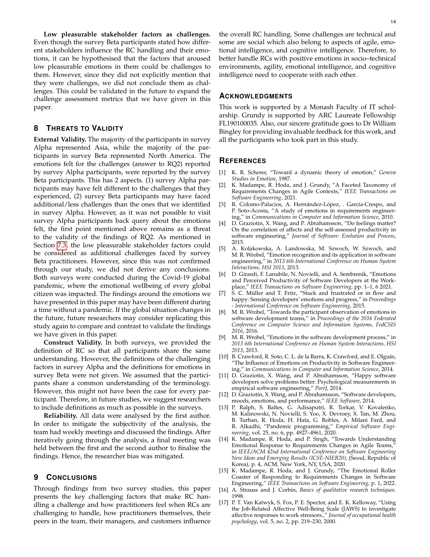**Low pleasurable stakeholder factors as challenges.** Even though the survey Beta participants stated how different stakeholders influence the RC handling and their emotions, it can be hypothesised that the factors that aroused low pleasurable emotions in them could be challenges to them. However, since they did not explicitly mention that they were challenges, we did not conclude them as challenges. This could be validated in the future to expand the challenge assessment metrics that we have given in this paper.

## **8 THREATS TO VALIDITY**

**External Validity.** The majority of the participants in survey Alpha represented Asia, while the majority of the participants in survey Beta represented North America. The emotions felt for the challenges (answer to RQ2) reported by survey Alpha participants, were reported by the survey Beta participants. This has 2 aspects. (1) survey Alpha participants may have felt different to the challenges that they experienced, (2) survey Beta participants may have faced additional/less challenges than the ones that we identified in survey Alpha. However, as it was not possible to visit survey Alpha participants back query about the emotions felt, the first point mentioned above remains as a threat to the validity of the findings of RQ2. As mentioned in Section [7.3,](#page-11-1) the low pleasurable stakeholder factors could be considered as additional challenges faced by survey Beta practitioners. However, since this was not confirmed through our study, we did not derive any conclusions. Both surveys were conducted during the Covid-19 global pandemic, where the emotional wellbeing of every global citizen was impacted. The findings around the emotions we have presented in this paper may have been different during a time without a pandemic. If the global situation changes in the future, future researchers may consider replicating this study again to compare and contrast to validate the findings we have given in this paper.

**Construct Validity.** In both surveys, we provided the definition of RC so that all participants share the same understanding. However, the definitions of the challenging factors in survey Alpha and the definitions for emotions in survey Beta were not given. We assumed that the participants share a common understanding of the terminology. However, this might not have been the case for every participant. Therefore, in future studies, we suggest researchers to include definitions as much as possible in the surveys.

**Reliability.** All data were analysed by the first author. In order to mitigate the subjectivity of the analysis, the team had weekly meetings and discussed the findings. After iteratively going through the analysis, a final meeting was held between the first and the second author to finalise the findings. Hence, the researcher bias was mitigated.

#### **9 CONCLUSIONS**

Through findings from two survey studies, this paper presents the key challenging factors that make RC handling a challenge and how practitioners feel when RCs are challenging to handle, how practitioners themselves, their peers in the team, their managers, and customers influence

the overall RC handling. Some challenges are technical and some are social which also belong to aspects of agile, emotional intelligence, and cognitive intelligence. Therefore, to better handle RCs with positive emotions in socio–technical environments, agility, emotional intelligence, and cognitive intelligence need to cooperate with each other.

#### **ACKNOWLEDGMENTS**

This work is supported by a Monash Faculty of IT scholarship. Grundy is supported by ARC Laureate Fellowship FL190100035. Also, our sincere gratitude goes to Dr William Bingley for providing invaluable feedback for this work, and all the participants who took part in this study.

#### **REFERENCES**

- <span id="page-13-0"></span>[1] K. R. Scherer, "Toward a dynamic theory of emotion," *Geneva Studies in Emotion*, 1987.
- <span id="page-13-1"></span>[2] K. Madampe, R. Hoda, and J. Grundy, "A Faceted Taxonomy of Requirements Changes in Agile Contexts," *IEEE Transactions on Software Engineering*, 2021.
- <span id="page-13-2"></span>[3] R. Colomo-Palacios, A. Hernández-López, . García-Crespo, and P. Soto-Acosta, "A study of emotions in requirements engineering," in *Communications in Computer and Information Science*, 2010.
- <span id="page-13-3"></span>[4] D. Graziotin, X. Wang, and P. Abrahamsson, "Do feelings matter? On the correlation of affects and the self-assessed productivity in software engineering," *Journal of Software: Evolution and Process*, 2015.
- <span id="page-13-4"></span>[5] A. Kolakowska, A. Landowska, M. Szwoch, W. Szwoch, and M. R. Wrobel, "Emotion recognition and its application in software engineering," in *2013 6th International Conference on Human System Interactions, HSI 2013*, 2013.
- <span id="page-13-5"></span>[6] D. Girardi, F. Lanubile, N. Novielli, and A. Serebrenik, "Emotions and Perceived Productivity of Software Developers at the Workplace," *IEEE Transactions on Software Engineering*, pp. 1–1, 6 2021.
- <span id="page-13-6"></span>[7] S. C. Müller and T. Fritz, "Stuck and frustrated or in flow and happy: Sensing developers' emotions and progress," in *Proceedings - International Conference on Software Engineering*, 2015.
- <span id="page-13-7"></span>[8] M. R. Wrobel, "Towards the participant observation of emotions in software development teams," in *Proceedings of the 2016 Federated Conference on Computer Science and Information Systems, FedCSIS 2016*, 2016.
- <span id="page-13-8"></span>[9] M. R. Wrobel, "Emotions in the software development process," in *2013 6th International Conference on Human System Interactions, HSI 2013*, 2013.
- <span id="page-13-9"></span>[10] B. Crawford, R. Soto, C. L. de la Barra, K. Crawford, and E. Olguín, "The Influence of Emotions on Productivity in Software Engineering," in *Communications in Computer and Information Science*, 2014.
- <span id="page-13-10"></span>[11] D. Graziotin, X. Wang, and P. Abrahamsson, "Happy software developers solve problems better: Psychological measurements in empirical software engineering," *PeerJ*, 2014.
- <span id="page-13-11"></span>[12] D. Graziotin, X. Wang, and P. Abrahamsson, "Software developers, moods, emotions, and performance," *IEEE Software*, 2014.
- <span id="page-13-12"></span>[13] P. Ralph, S. Baltes, G. Adisaputri, R. Torkar, V. Kovalenko, M. Kalinowski, N. Novielli, S. Yoo, X. Devroey, X. Tan, M. Zhou, B. Turhan, R. Hoda, H. Hata, G. Robles, A. Milani Fard, and R. Alkadhi, "Pandemic programming," *Empirical Software Engineering*, vol. 25, no. 6, pp. 4927–4961, 2020.
- <span id="page-13-13"></span>[14] K. Madampe, R. Hoda, and P. Singh, "Towards Understanding Emotional Response to Requirements Changes in Agile Teams, in *IEEE/ACM 42nd International Conference on Software Engineering New Ideas and Emerging Results (ICSE-NIER20)*, (Seoul, Republic of Korea), p. 4, ACM, New York, NY, USA, 2020.
- <span id="page-13-14"></span>[15] K. Madampe, R. Hoda, and J. Grundy, "The Emotional Roller Coaster of Responding to Requirements Changes in Software Engineering," *IEEE Transactions on Software Engineering*, p. 1, 2022.
- <span id="page-13-15"></span>[16] A. Strauss and J. Corbin, *Basics of qualitative research techniques.* 1998.
- <span id="page-13-16"></span>[17] P. T. Van Katwyk, S. Fox, P. E. Spector, and E. K. Kelloway, "Using the Job-Related Affective Well-Being Scale (JAWS) to investigate affective responses to work stressors.," *Journal of occupational health psychology*, vol. 5, no. 2, pp. 219–230, 2000.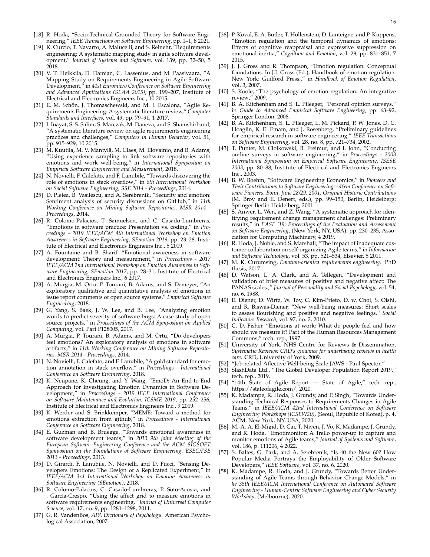- <span id="page-14-0"></span>[18] R. Hoda, "Socio-Technical Grounded Theory for Software Engineering," *IEEE Transactions on Software Engineering*, pp. 1–1, 8 2021.
- <span id="page-14-1"></span>[19] K. Curcio, T. Navarro, A. Malucelli, and S. Reinehr, "Requirements engineering: A systematic mapping study in agile software development," *Journal of Systems and Software*, vol. 139, pp. 32–50, 5 2018.
- <span id="page-14-2"></span>[20] V. T. Heikkila, D. Damian, C. Lassenius, and M. Paasivaara, "A Mapping Study on Requirements Engineering in Agile Software Development," in *41st Euromicro Conference on Software Engineering and Advanced Applications (SEAA 2015)*, pp. 199–207, Institute of Electrical and Electronics Engineers Inc., 10 2015.
- <span id="page-14-3"></span>[21] E. M. Schön, J. Thomaschewski, and M. J. Escalona, "Agile Requirements Engineering: A systematic literature review," *Computer Standards and Interfaces*, vol. 49, pp. 79–91, 1 2017.
- <span id="page-14-4"></span>[22] I. Inayat, S. S. Salim, S. Marczak, M. Daneva, and S. Shamshirband, "A systematic literature review on agile requirements engineering practices and challenges," *Computers in Human Behavior*, vol. 51, pp. 915–929, 10 2015.
- <span id="page-14-5"></span>[23] M. Kuutila, M. V. Mäntylä, M. Claes, M. Elovainio, and B. Adams, "Using experience sampling to link software repositories with emotions and work well-being," in *International Symposium on Empirical Software Engineering and Measurement*, 2018.
- <span id="page-14-6"></span>[24] N. Novielli, F. Calefato, and F. Lanubile, "Towards discovering the role of emotions in stack overflow," in *6th International Workshop on Social Software Engineering, SSE 2014 - Proceedings*, 2014.
- <span id="page-14-7"></span>[25] D. Pletea, B. Vasilescu, and A. Serebrenik, "Security and emotion: Sentiment analysis of security discussions on GitHub," in *11th Working Conference on Mining Software Repositories, MSR 2014 - Proceedings*, 2014.
- <span id="page-14-8"></span>[26] R. Colomo-Palacios, T. Samuelsen, and C. Casado-Lumbreras, "Emotions in software practice: Presentation vs. coding," in *Proceedings - 2019 IEEE/ACM 4th International Workshop on Emotion Awareness in Software Engineering, SEmotion 2019*, pp. 23–28, Institute of Electrical and Electronics Engineers Inc., 5 2019.
- <span id="page-14-9"></span>[27] A. Fountaine and B. Sharif, "Emotional awareness in software development: Theory and measurement," in *Proceedings - 2017 IEEE/ACM 2nd International Workshop on Emotion Awareness in Software Engineering, SEmotion 2017*, pp. 28–31, Institute of Electrical and Electronics Engineers Inc., 6 2017.
- <span id="page-14-10"></span>[28] A. Murgia, M. Ortu, P. Tourani, B. Adams, and S. Demeyer, "An exploratory qualitative and quantitative analysis of emotions in issue report comments of open source systems," *Empirical Software Engineering*, 2018.
- <span id="page-14-11"></span>[29] G. Yang, S. Baek, J. W. Lee, and B. Lee, "Analyzing emotion words to predict severity of software bugs: A case study of open source projects," in *Proceedings of the ACM Symposium on Applied Computing*, vol. Part F128005, 2017.
- <span id="page-14-12"></span>[30] A. Murgia, P. Tourani, B. Adams, and M. Ortu, "Do developers feel emotions? An exploratory analysis of emotions in software artifacts," in *11th Working Conference on Mining Software Repositories, MSR 2014 - Proceedings*, 2014.
- <span id="page-14-13"></span>[31] N. Novielli, F. Calefato, and F. Lanubile, "A gold standard for emotion annotation in stack overflow," in *Proceedings - International Conference on Software Engineering*, 2018.
- <span id="page-14-14"></span>[32] K. Neupane, K. Cheung, and Y. Wang, "EmoD: An End-to-End Approach for Investigating Emotion Dynamics in Software Development," in *Proceedings - 2019 IEEE International Conference on Software Maintenance and Evolution, ICSME 2019*, pp. 252–256, Institute of Electrical and Electronics Engineers Inc., 9 2019.
- <span id="page-14-15"></span>[33] K. Werder and S. Brinkkemper, "MEME: Toward a method for emotions extraction from github," in *Proceedings - International Conference on Software Engineering*, 2018.
- <span id="page-14-16"></span>[34] E. Guzman and B. Bruegge, "Towards emotional awareness in software development teams," in *2013 9th Joint Meeting of the European Software Engineering Conference and the ACM SIGSOFT Symposium on the Foundations of Software Engineering, ESEC/FSE 2013 - Proceedings*, 2013.
- <span id="page-14-17"></span>[35] D. Girardi, F. Lanubile, N. Novielli, and D. Fucci, "Sensing Developers Emotions: The Design of a Replicated Experiment," in *IEEE/ACM 3rd International Workshop on Emotion Awareness in Software Engineering (SEmotion)*, 2018.
- <span id="page-14-18"></span>[36] R. Colomo-Palacios, C. Casado-Lumbreras, P. Soto-Acosta, and . García-Crespo, "Using the affect grid to measure emotions in software requirements engineering," *Journal of Universal Computer Science*, vol. 17, no. 9, pp. 1281–1298, 2011.
- <span id="page-14-19"></span>[37] G. R. VandenBos, *APA Dictionary of Psychology*. American Psychological Association, 2007.
- <span id="page-14-20"></span>[38] P. Koval, E. A. Butler, T. Hollenstein, D. Lanteigne, and P. Kuppens, "Emotion regulation and the temporal dynamics of emotions: Effects of cognitive reappraisal and expressive suppression on emotional inertia," *Cognition and Emotion*, vol. 29, pp. 831–851, 7 2015.
- <span id="page-14-21"></span>[39] J. J. Gross and R. Thompson, "Emotion regulation: Conceptual foundations. In J.J. Gross (Ed.), Handbook of emotion regulation. New York: Guilford Press.," in *Handbook of Emotion Regulation*, vol. 3, 2007.
- <span id="page-14-22"></span>[40] S. Koole, "The psychology of emotion regulation: An integrative review," 2009.
- <span id="page-14-23"></span>[41] B. A. Kitchenham and S. L. Pfleeger, "Personal opinion surveys," in *Guide to Advanced Empirical Software Engineering*, pp. 63–92, Springer London, 2008.
- <span id="page-14-24"></span>[42] B. A. Kitchenham, S. L. Pfleeger, L. M. Pickard, P. W. Jones, D. C. Hoaglin, K. El Emam, and J. Rosenberg, "Preliminary guidelines for empirical research in software engineering," *IEEE Transactions on Software Engineering*, vol. 28, no. 8, pp. 721–734, 2002.
- <span id="page-14-25"></span>[43] T. Punter, M. Ciolkowski, B. Freimut, and I. John, "Conducting on-line surveys in software engineering," in *Proceedings - 2003 International Symposium on Empirical Software Engineering, ISESE 2003*, pp. 80–88, Institute of Electrical and Electronics Engineers Inc., 2003.
- <span id="page-14-26"></span>[44] B. W. Boehm, "Software Engineering Economics," in *Pioneers and Their Contributions to Software Engineering: sd&m Conference on Software Pioneers, Bonn, June 28/29, 2001, Original Historic Contributions* (M. Broy and E. Denert, eds.), pp. 99–150, Berlin, Heidelberg: Springer Berlin Heidelberg, 2001.
- <span id="page-14-27"></span>[45] S. Anwer, L. Wen, and Z. Wang, "A systematic approach for identifying requirement change management challenges: Preliminary results," in *EASE '19: Proceedings of the Evaluation and Assessment on Software Engineering*, (New York, NY, USA), pp. 230–235, Association for Computing Machinery, 4 2019.
- <span id="page-14-28"></span>[46] R. Hoda, J. Noble, and S. Marshall, "The impact of inadequate customer collaboration on self-organizing Agile teams," in *Information and Software Technology*, vol. 53, pp. 521–534, Elsevier, 5 2011.
- <span id="page-14-29"></span>[47] M. K. Curumsing, *Emotion-oriented requirements engineering*. PhD thesis, 2017.
- <span id="page-14-30"></span>[48] D. Watson, L. A. Clark, and A. Tellegen, "Development and validation of brief measures of positive and negative affect: The PANAS scales.," *Journal of Personality and Social Psychology*, vol. 54, no. 6, 1988.
- <span id="page-14-31"></span>[49] E. Diener, D. Wirtz, W. Tov, C. Kim-Prieto, D. w. Choi, S. Oishi, and R. Biswas-Diener, "New well-being measures: Short scales to assess flourishing and positive and negative feelings," *Social Indicators Research*, vol. 97, no. 2, 2010.
- <span id="page-14-32"></span>[50] C. D. Fisher, "Emotions at work: What do people feel and how should we measure it? Part of the Human Resources Management Commons," tech. rep., 1997.
- <span id="page-14-33"></span>[51] University of York. NHS Centre for Reviews & Dissemination, *Systematic Reviews: CRD's guidance for undertaking reviews in health care*. CRD, University of York, 2009.
- <span id="page-14-34"></span>[52] "Job-related Affective Well-being Scale JAWS - Paul Spector."
- <span id="page-14-35"></span>[53] SlashData Ltd., "The Global Developer Population Report 2019," tech. rep., 2019.
- <span id="page-14-36"></span>[54] "14th State of Agile Report — State of Agile," tech. rep., https://stateofagile.com/, 2020.
- <span id="page-14-37"></span>[55] K. Madampe, R. Hoda, J. Grundy, and P. Singh, "Towards Understanding Technical Responses to Requirements Changes in Agile Teams," in *IEEE/ACM 42nd International Conference on Software Engineering Workshops (ICSEW20)*, (Seoul, Republic of Korea), p. 4, ACM, New York, NY, USA, 2020.
- <span id="page-14-38"></span>[56] M.-A. A. El-Migid, D. Cai, T. Niven, J. Vo, K. Madampe, J. Grundy, and R. Hoda, "Emotimonitor: A Trello power-up to capture and monitor emotions of Agile teams," *Journal of Systems and Software*, vol. 186, p. 111206, 4 2022.
- <span id="page-14-39"></span>[57] S. Baltes, G. Park, and A. Serebrenik, "Is 40 the New 60? How Popular Media Portrays the Employability of Older Software Developers," *IEEE Software*, vol. 37, no. 6, 2020.
- <span id="page-14-40"></span>[58] K. Madampe, R. Hoda, and J. Grundy, "Towards Better Understanding of Agile Teams through Behavior Change Models," in *he 35th IEEE/ACM International Conference on Automated Software Engineering - Human-Centric Software Engineering and Cyber Security Workshop*, (Melbourne), 2020.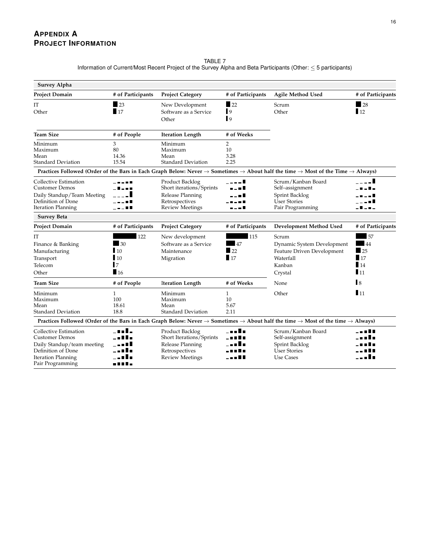| TABLE 7                                                                                                             |  |
|---------------------------------------------------------------------------------------------------------------------|--|
| Information of Current/Most Recent Project of the Survey Alpha and Beta Participants (Other: $\leq$ 5 participants) |  |

| <b>Survey Alpha</b>        |                   |                           |                          |                                                                                                                                                                                 |                   |
|----------------------------|-------------------|---------------------------|--------------------------|---------------------------------------------------------------------------------------------------------------------------------------------------------------------------------|-------------------|
| <b>Project Domain</b>      | # of Participants | <b>Project Category</b>   | # of Participants        | <b>Agile Method Used</b>                                                                                                                                                        | # of Participants |
| IT                         | $\blacksquare$ 23 | New Development           | $\sqrt{22}$              | Scrum                                                                                                                                                                           | $\blacksquare$ 28 |
| Other                      | 17                | Software as a Service     | $\blacksquare$           | Other                                                                                                                                                                           | $\blacksquare$ 12 |
|                            |                   | Other                     | $\mathbf{I}$             |                                                                                                                                                                                 |                   |
| <b>Team Size</b>           | # of People       | <b>Iteration Length</b>   | # of Weeks               |                                                                                                                                                                                 |                   |
| Minimum                    | 3                 | Minimum                   | $\overline{2}$           |                                                                                                                                                                                 |                   |
| Maximum                    | 80                | Maximum                   | 10                       |                                                                                                                                                                                 |                   |
| Mean                       | 14.36             | Mean                      | 3.28                     |                                                                                                                                                                                 |                   |
| <b>Standard Deviation</b>  | 15.54             | <b>Standard Deviation</b> | 2.25                     |                                                                                                                                                                                 |                   |
|                            |                   |                           |                          | Practices Followed (Order of the Bars in Each Graph Below: Never $\rightarrow$ Sometimes $\rightarrow$ About half the time $\rightarrow$ Most of the Time $\rightarrow$ Always) |                   |
| Collective Estimation      | - - - - -         | Product Backlog           | $\overline{\phantom{a}}$ | Scrum/Kanban Board                                                                                                                                                              |                   |
| <b>Customer Demos</b>      |                   | Short iterations/Sprints  |                          | Self-assignment                                                                                                                                                                 |                   |
| Daily Standup/Team Meeting |                   | Release Planning          |                          | Sprint Backlog                                                                                                                                                                  |                   |
| Definition of Done         |                   | Retrospectives            |                          | <b>User Stories</b>                                                                                                                                                             |                   |
| <b>Iteration Planning</b>  | . U               | <b>Review Meetings</b>    | - - - II                 | Pair Programming                                                                                                                                                                | . 8               |
| <b>Survey Beta</b>         |                   |                           |                          |                                                                                                                                                                                 |                   |
| <b>Project Domain</b>      | # of Participants | <b>Project Category</b>   | # of Participants        | Development Method Used                                                                                                                                                         | # of Participants |
| IT                         | 122               | New development           | 115                      | Scrum                                                                                                                                                                           | 57                |
| Finance & Banking          | 30                | Software as a Service     | 47                       | Dynamic System Development                                                                                                                                                      | 44                |
| Manufacturing              | 10                | Maintenance               | $\blacksquare$ 22        | Feature Driven Development                                                                                                                                                      | $\sqrt{25}$       |
| Transport                  | $\blacksquare$ 10 | Migration                 | 17                       | Waterfall                                                                                                                                                                       | $\blacksquare$ 17 |
| Telecom                    | $\overline{7}$    |                           |                          | Kanban                                                                                                                                                                          | 14                |
| Other                      | $\blacksquare$ 16 |                           |                          | Crystal                                                                                                                                                                         | $\blacksquare$ 11 |
| <b>Team Size</b>           | # of People       | <b>Iteration Length</b>   | # of Weeks               | None                                                                                                                                                                            | $\mathbf{R}$      |
| Minimum                    | $\mathbf{1}$      | Minimum                   | $\mathbf{1}$             | Other                                                                                                                                                                           | $\blacksquare$ 11 |
| Maximum                    | 100               | Maximum                   | 10                       |                                                                                                                                                                                 |                   |
| Mean                       | 18.61             | Mean                      | 5.67                     |                                                                                                                                                                                 |                   |
| <b>Standard Deviation</b>  | 18.8              | <b>Standard Deviation</b> | 2.11                     |                                                                                                                                                                                 |                   |
|                            |                   |                           |                          | Practices Followed (Order of the Bars in Each Graph Below: Never $\rightarrow$ Sometimes $\rightarrow$ About half the time $\rightarrow$ Most of the time $\rightarrow$ Always) |                   |
| Collective Estimation      |                   | Product Backlog           |                          | Scrum/Kanban Board                                                                                                                                                              | --- <b>115</b>    |
| <b>Customer Demos</b>      |                   | Short Iterations/Sprints  |                          | Self-assignment                                                                                                                                                                 |                   |
| Daily Standup/team meeting |                   | Release Planning          |                          | Sprint Backlog                                                                                                                                                                  |                   |
| Definition of Done         |                   | Retrospectives            |                          | <b>User Stories</b>                                                                                                                                                             |                   |
| <b>Iteration Planning</b>  |                   | <b>Review Meetings</b>    |                          | Use Cases                                                                                                                                                                       |                   |
| Pair Programming           | -----             |                           |                          |                                                                                                                                                                                 |                   |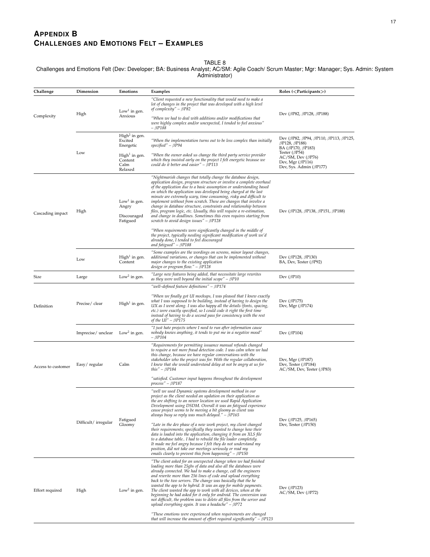# **APPENDIX B CHALLENGES AND EMOTIONS FELT – EXAMPLES**

TABLE 8

<span id="page-16-0"></span>Challenges and Emotions Felt (Dev: Developer; BA: Business Analyst; AC/SM: Agile Coach/ Scrum Master; Mgr: Manager; Sys. Admin: System Administrator)

| Challenge          | Dimension            | Emotions                                                     | Examples                                                                                                                                                                                                                                                                                                                                                                                                                                                                                                                                                                                                                                                                                                                                                              | Roles $(<$ Participants $>)$                                                                                                  |
|--------------------|----------------------|--------------------------------------------------------------|-----------------------------------------------------------------------------------------------------------------------------------------------------------------------------------------------------------------------------------------------------------------------------------------------------------------------------------------------------------------------------------------------------------------------------------------------------------------------------------------------------------------------------------------------------------------------------------------------------------------------------------------------------------------------------------------------------------------------------------------------------------------------|-------------------------------------------------------------------------------------------------------------------------------|
|                    |                      | Low <sup>1</sup> in gen.                                     | "Client requested a new functionality that would need to make a<br>lot of changes in the project that was developed with a high level<br>of complexity" - $\beta P82$                                                                                                                                                                                                                                                                                                                                                                                                                                                                                                                                                                                                 |                                                                                                                               |
| Complexity         | High                 | Anxious                                                      | "When we had to deal with additions and/or modifications that<br>were highly complex and/or unexpected, I tended to feel anxious"<br>– BP188                                                                                                                                                                                                                                                                                                                                                                                                                                                                                                                                                                                                                          | Dev ( $\beta$ P82, $\beta$ P128, $\beta$ P188)                                                                                |
|                    | Low                  | $High2$ in gen.<br>Excited<br>Energetic                      | "When the implementation turns out to be less complex than initially<br>$specified'' - \beta P94$                                                                                                                                                                                                                                                                                                                                                                                                                                                                                                                                                                                                                                                                     | Dev ( $\beta$ P82, $\beta$ P94, $\beta$ P110, $\beta$ P113, $\beta$ P125,<br>$\beta$ P128, $\beta$ P188)<br>BA (βP170, βP183) |
|                    |                      | $High1$ in gen.<br>Content<br>Calm<br>Relaxed                | "When the owner asked us change the third party service provider<br>which they insisted early on the project I felt energetic because we<br>could do it better and easier" – $\beta P113$                                                                                                                                                                                                                                                                                                                                                                                                                                                                                                                                                                             | Tester $(\beta P54)$<br>$AC/SM$ , Dev ( $\beta P76$ )<br>Dev, Mgr $(\beta P116)$<br>Dev, Sys. Admin ( $\beta$ P177)           |
| Cascading impact   | High                 | Low <sup>1</sup> in gen.<br>Angry<br>Discouraged<br>Fatigued | "Nightmarish changes that totally change the database design,<br>application design, program structure or involve a complete overhaul<br>of the application due to a basic assumption or understanding based<br>on which the application was developed being charged at the last<br>minute are extremely scary, time consuming, risky and difficult to<br>implement without from scratch. These are changes that involve a<br>change in database structure, constraints and relationship between<br>files, program logic, etc. Usually, this will require a re-estimation,<br>and change in deadlines. Sometimes this even requires starting from<br>scratch to avoid design issues" $- \beta P128$<br>"When requirements were significantly changed in the middle of | Dev ( $\beta$ P128, $\beta$ P138, $\beta$ P151, $\beta$ P188)                                                                 |
|                    |                      |                                                              | the project, typically needing significant modification of work we'd<br>already done, I tended to feel discouraged<br>and fatigued" $ \beta$ P188                                                                                                                                                                                                                                                                                                                                                                                                                                                                                                                                                                                                                     |                                                                                                                               |
|                    | Low                  | $High1$ in gen.<br>Content                                   | "Some examples are the wordings on screens, minor layout changes,<br>additional variations, or changes that can be implemented without<br>major changes to the existing application<br>design or program flow." – βP128                                                                                                                                                                                                                                                                                                                                                                                                                                                                                                                                               | Dev ( $\beta$ P128, $\beta$ P130)<br>BA, Dev, Tester (BP92)                                                                   |
| Size               | Large                | Low <sup>2</sup> in gen.                                     | "Large new features being added, that necessitate large rewrites<br>as they were well beyond the initial scope" $- \beta P10$                                                                                                                                                                                                                                                                                                                                                                                                                                                                                                                                                                                                                                         | Dev ( $\beta$ P10)                                                                                                            |
|                    |                      |                                                              | "well-defined feature definitions" - $\beta$ P174                                                                                                                                                                                                                                                                                                                                                                                                                                                                                                                                                                                                                                                                                                                     |                                                                                                                               |
| Definition         | Precise/clear        | $High1$ in gen.                                              | "When we finally got UI mockups, I was pleased that I knew exactly<br>what I was supposed to be building, instead of having to design the<br>UX as I went along. I was also happy all the details (fonts, spacing,<br>etc.) were exactly specified, so I could code it right the first time<br>instead of having to do a second pass for consistency with the rest<br>of the $UI'' - \beta P175$                                                                                                                                                                                                                                                                                                                                                                      | Dev ( $\beta$ P175)<br>Dev, Mgr $(\beta P174)$                                                                                |
|                    | Imprecise/unclear    | Low <sup>2</sup> in gen.                                     | "I just hate projects where I need to run after information cause<br>nobody knows anything, it tends to put me in a negative mood"<br>– BP104                                                                                                                                                                                                                                                                                                                                                                                                                                                                                                                                                                                                                         | Dev ( $\beta$ P104)                                                                                                           |
| Access to customer | Easy/regular<br>Calm |                                                              | "Requirements for permitting issuance manual refunds changed<br>to require a not more fraud detection code. I was calm when we had<br>this change, because we have regular conversations with the<br>stakeholder who the project was for. With the regular collaboration,<br>I knew that she would understand delay at not be angry at us for<br>this" – $\beta P184$                                                                                                                                                                                                                                                                                                                                                                                                 | Dev, Mgr $(\beta P187)$<br>Dev, Tester ( $\beta$ P184)<br>AC/SM, Dev, Tester ( $\beta$ P83)                                   |
|                    |                      |                                                              | "satisfied. Customer input happens throughout the development<br>process" – βP187                                                                                                                                                                                                                                                                                                                                                                                                                                                                                                                                                                                                                                                                                     |                                                                                                                               |
|                    |                      |                                                              | "well we used Dynamic systems development method in our<br>project as the client needed an updation on their application as<br>the are shifting to an newer location we used Rapid Application<br>Development using DSDM. Overall it was an fatigued experience<br>cause project seems to be moving a bit gloomy as client was<br>always busy so reply was much delayed." - $\beta P165$                                                                                                                                                                                                                                                                                                                                                                              |                                                                                                                               |
|                    | Difficult/irregular  | Fatigued<br>Gloomy                                           | "Late in the dev phase of a new work project, my client changed<br>their requirements; specifically they wanted to change how their<br>data is loaded into the application, changing it from an XLS file<br>to a database table I had to rebuild the file loader completely.<br>It made me feel angry because I felt they do not understand my<br>position, did not take our meetings seriously or read my<br>emails clearly to prevent this from happening" $ \beta$ P150                                                                                                                                                                                                                                                                                            | Dev ( $\beta$ P125, $\beta$ P165)<br>Dev, Tester ( $\beta$ P150)                                                              |
| Effort required    | High                 | Low <sup>2</sup> in gen.                                     | "The client asked for an unexpected change when we had finished<br>loading more than 25gbs of data and also all the databases were<br>already connected. We had to make a change, call the engineers<br>and rewrite more than 256 lines of code and upload everything<br>back to the two servers. The change was basically that the he<br>wanted the app to be hybrid. It was an app for mobile payments.<br>The client wanted the app to work with all devices, when at the<br>beginning he had asked for it only for android. The conversion was<br>not difficult, the problem was to delete all files from the server and<br>upload everything again. It was a headache" – βP72<br>"These emotions were experienced when requirements are changed                  | Dev $(\beta P123)$<br>$AC/SM$ , Dev ( $\beta$ P72)                                                                            |
|                    |                      |                                                              | that will increase the amount of effort required significantly" – $\beta P123$                                                                                                                                                                                                                                                                                                                                                                                                                                                                                                                                                                                                                                                                                        |                                                                                                                               |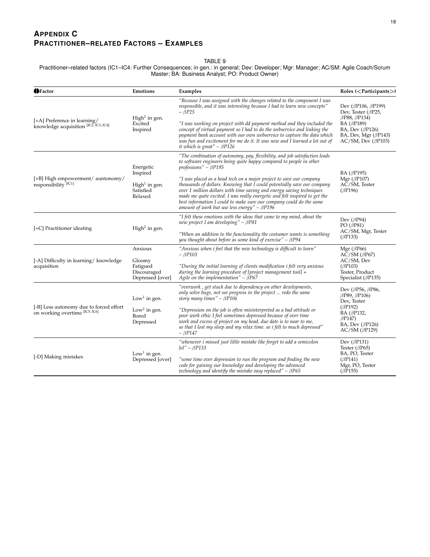## **APPENDIX C PRACTITIONER–RELATED FACTORS – EXAMPLES**

#### TABLE 9

Practitioner–related factors (IC1–IC4: Further Consequences; in gen.: in general; Dev: Developer; Mgr: Manager; AC/SM: Agile Coach/Scrum Master; BA: Business Analyst; PO: Product Owner)

| <b>IDFactor</b>                                                           | Emotions                                                                   | Examples                                                                                                                                                                                                                                                                                                                                                                                                                                                                                                                                                                                                              | Roles ( $\langle$ Participants $\rangle$ )                                                                                                                                                            |
|---------------------------------------------------------------------------|----------------------------------------------------------------------------|-----------------------------------------------------------------------------------------------------------------------------------------------------------------------------------------------------------------------------------------------------------------------------------------------------------------------------------------------------------------------------------------------------------------------------------------------------------------------------------------------------------------------------------------------------------------------------------------------------------------------|-------------------------------------------------------------------------------------------------------------------------------------------------------------------------------------------------------|
| [+A] Preference in learning/<br>knowledge acquisition [IC2, IC3, IC4]     | High <sup>2</sup> in gen.<br>Excited<br>Inspired                           | "Because I was assigned with the changes related to the component I was<br>responsible, and it was interesting because I had to learn new concepts"<br>– BP25<br>"I was working on project with dd payment method and they included the<br>concept of virtual payment so I had to do the webservice and linking the<br>payment bank account with our own webservice to capture the data which<br>was fun and excitement for me do it. It was new and I learned a lot out of<br>it which is great" - $\beta$ P126                                                                                                      | Dev ( $\beta$ P106, $\beta$ P199)<br>Dev, Tester ( $\beta$ P25,<br>$\beta$ P88, $\beta$ P134)<br>BA (βP189)<br>BA, Dev $(\beta P126)$<br>BA, Dev, Mgr $(\beta P143)$<br>$AC/SM$ , Dev ( $\beta$ P103) |
| [+B] High empowerment/ auntonomy/<br>responsibility <sup>[IC1]</sup>      | Energetic<br>Inspired<br>$High1$ in gen.<br>Satisfied<br>Relaxed           | "The combination of autonomy, pay, flexibility, and job satisfaction leads<br>to software engineers being quite happy compared to people in other<br>professions" - $\beta P195$<br>"I was placed as a head tech on a major project to save our company<br>thousands of dollars. Knowing that I could potentially save our company<br>over 1 million dollars with time saving and energy saving techniques<br>made me quite excited. I was really energetic and felt inspired to get the<br>best information I could to make sure our company could do the same<br>amount of work but use less energy" - $\beta P196$ | BA ( $\beta$ P195)<br>Mgr ( $\beta$ P107)<br>AC/SM, Tester<br>$(\beta P196)$                                                                                                                          |
| [+C] Practitioner ideating                                                | High <sup>2</sup> in gen.                                                  | "I felt these emotions with the ideas that came to my mind, about the<br>new project I am developing" - $\beta P81$<br>"When an addition to the functionality the costumer wants is something<br>you thought about before as some kind of exercise" - $\beta P94$                                                                                                                                                                                                                                                                                                                                                     | Dev ( $\beta$ P94)<br>PO $(\beta P81)$<br>AC/SM, Mgr, Tester<br>$(\beta P133)$                                                                                                                        |
| [-A] Difficulty in learning/knowledge<br>acquisition                      | Anxious<br>Gloomy<br>Fatigued<br>Discouraged<br>Depressed [over]           | "Anxious when i feel that the new technology is difficult to learn"<br>$-\beta P103$<br>"During the initial learning of clients modification i felt very anxious<br>during the learning procedure of [project management tool] $+$<br>Agile on the implementation" – $\beta P67$                                                                                                                                                                                                                                                                                                                                      | Mgr $(\beta P66)$<br>$AC/SM$ ( $\beta P67$ )<br>AC/SM, Dev<br>$(\beta P103)$<br>Tester, Product<br>Specialist ( $\beta$ P135)                                                                         |
| [-B] Less autonomy due to forced effort<br>on working overtime [IC5, IC6] | Low <sup>1</sup> in gen.<br>Low <sup>2</sup> in gen.<br>Bored<br>Depressed | "overwork, get stuck due to dependency on other developments,<br>only solve bugs, not see progress in the project  redo the same<br>story many times" - $\beta P106$<br>"Depression on the job is often misinterpreted as a bad attitude or<br>poor work ethic I feel sometimes depressed because of over time<br>work and excess of project on my head, due date is to near to me,<br>so that I lost my sleep and my relax time. so i felt to much depressed"<br>$ \beta$ P147                                                                                                                                       | Dev ( $\beta$ P56, $\beta$ P86,<br>$\beta$ P89, $\beta$ P106)<br>Dev, Tester<br>$(\beta P192)$<br>BA (βP132,<br>$\beta$ P147)<br>BA, Dev $(\beta P126)$<br>$AC/SM$ ( $\beta$ P129)                    |
| [-D] Making mistakes                                                      | Low <sup>1</sup> in gen.<br>Depressed [over]                               | "whenever i missed just liltle mistake like forget to add a semicolon<br>$Iol'' - \beta P133$<br>"some time over depression to run the program and finding the new<br>code for gaining our knowledge and developing the advanced<br>technology and identify the mistake easy replaced" $ \beta P65$                                                                                                                                                                                                                                                                                                                   | Dev ( $\beta$ P131)<br>Tester $(\beta P65)$<br>BA, PO, Tester<br>$(\beta P141)$<br>Mgr, PO, Tester<br>$(\beta \bar{P}155)$                                                                            |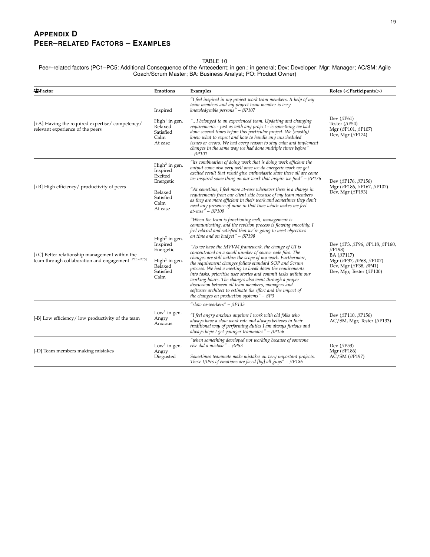# **APPENDIX D PEER–RELATED FACTORS – EXAMPLES**

#### TABLE 10

Peer–related factors (PC1–PC5: Additional Consequence of the Antecedent; in gen.: in general; Dev: Developer; Mgr: Manager; AC/SM: Agile Coach/Scrum Master; BA: Business Analyst; PO: Product Owner)

| <b>名</b> Factor                                                                                       | Emotions                                                                                              | Examples                                                                                                                                                                                                                                                                                                                                                                                                             | Roles $(<$ Participants $>)$                                                                                                   |
|-------------------------------------------------------------------------------------------------------|-------------------------------------------------------------------------------------------------------|----------------------------------------------------------------------------------------------------------------------------------------------------------------------------------------------------------------------------------------------------------------------------------------------------------------------------------------------------------------------------------------------------------------------|--------------------------------------------------------------------------------------------------------------------------------|
|                                                                                                       | Inspired                                                                                              | "I feel inspired in my project work team members. It help of my<br>team members and my project team member is very<br>knowledgeable persons" - $\beta$ P107                                                                                                                                                                                                                                                          |                                                                                                                                |
| [+A] Having the required expertise/competency/<br>relevant experience of the peers                    | High <sup>1</sup> in gen.<br>Relaxed<br>Satisfied<br>Calm<br>At ease                                  | " I belonged to an experienced team. Updating and changing<br>requirements - just as with any project - is something we had<br>done several times before this particular project. We (mostly)<br>knew what to expect and how to handle any unscheduled<br>issues or errors. We had every reason to stay calm and implement<br>changes in the same way we had done multiple times before"<br>$ \beta$ P101            | Dev $(\beta P61)$<br>Tester $(\beta P54)$<br>Mgr ( $\beta$ P101, $\beta$ P107)<br>Dev, Mgr $(\beta P174)$                      |
| [+B] High efficiency/ productivity of peers                                                           | High <sup>2</sup> in gen.<br>Inspired<br>Excited<br>Energetic                                         | "its combination of doing work that is doing work efficient the<br>output come also very well once we do energetic work we get<br>excited result that result give enthusiastic state these all are come<br>we inspired some thing on our work that inspire we find" $-\beta P176$                                                                                                                                    | Dev ( $\beta$ P176, $\beta$ P156)<br>Mgr ( $\beta$ P186, $\beta$ P167, $\beta$ P107)<br>Dev, Mgr $(\beta P193)$                |
|                                                                                                       | Relaxed<br>Satisfied<br>Calm<br>At ease                                                               | "At sometime, I feel more at-ease whenever there is a change in<br>requirements from our client side because of my team members<br>as they are more efficient in their work and sometimes they don't<br>need any presence of mine in that time which makes me feel<br>at-ease" – BP109                                                                                                                               |                                                                                                                                |
| [+C] Better relationship management within the<br>team through collaboration and engagement [PC1-PC5] | High <sup>2</sup> in gen.<br>Inspired<br>Energetic<br>$High1$ in gen.<br>Relaxed<br>Satisfied<br>Calm | "When the team is functioning well, management is<br>communicating, and the revision process is flowing smoothly, I<br>feel relaxed and satisfied that we're going to meet objectives<br>on time and on budget" - $\beta$ P198<br>"As we have the MVVM framework, the change of UI is<br>concentrated on a small number of source code files. The<br>changes are still within the scope of my work. Furthermore,     | Dev ( $\beta$ P3, $\beta$ P96, $\beta$ P118, $\beta$ P160,<br>$\beta$ P198)<br>$BA$ ( $\beta$ P117)<br>Mgr (βP37, βP68, βP107) |
|                                                                                                       |                                                                                                       | the requirement changes follow standard SOP and Scrum<br>process. We had a meeting to break down the requirements<br>into tasks, prioritise user stories and commit tasks within our<br>working hours. The changes also went through a proper<br>discussion between all team members, managers and<br>software architect to estimate the effort and the impact of<br>the changes on production systems" $- \beta P3$ | Dev, Mgr ( $\beta$ P38, $\beta$ P41)<br>Dev, Mgr, Tester ( $\beta$ P100)                                                       |
| [-B] Low efficiency/low productivity of the team                                                      | Low <sup>1</sup> in gen.<br>Angry<br>Anxious                                                          | "slow co-workers" - $\beta$ P133                                                                                                                                                                                                                                                                                                                                                                                     |                                                                                                                                |
|                                                                                                       |                                                                                                       | "I feel angry anxious anytime I work with old folks who<br>always have a slow work rate and always believes in their<br>traditional way of performing duties I am always furious and<br>always hope I get younger teammates" - $\beta P156$                                                                                                                                                                          | Dev ( $\beta$ P110, $\beta$ P156)<br>$AC/SM$ , Mgr, Tester ( $\beta$ P133)                                                     |
| [-D] Team members making mistakes                                                                     | Low <sup>1</sup> in gen.<br>Angry<br>Disgusted                                                        | "when something developed not working because of someone<br>else did a mistake" - $\beta P53$                                                                                                                                                                                                                                                                                                                        | Dev $(\beta P53)$<br>Mgr ( $\beta$ P186)<br>$AC/SM$ ( $\beta$ P197)                                                            |
|                                                                                                       |                                                                                                       | Sometimes teammate make mistakes on very important projects.<br>These t $\beta$ Pes of emotions are faced [by] all guys" – $\beta$ P186                                                                                                                                                                                                                                                                              |                                                                                                                                |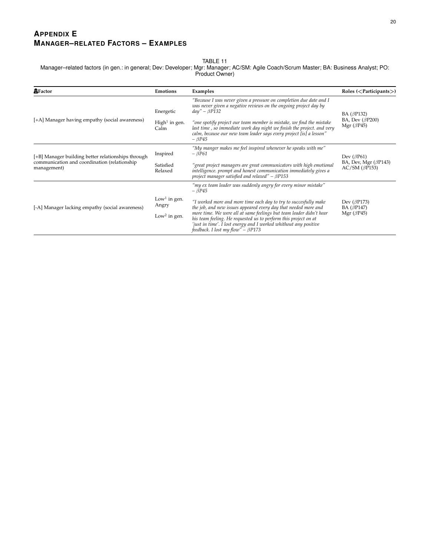# **APPENDIX E MANAGER–RELATED FACTORS – EXAMPLES**

#### TABLE 11

Manager–related factors (in gen.: in general; Dev: Developer; Mgr: Manager; AC/SM: Agile Coach/Scrum Master; BA: Business Analyst; PO: Product Owner)

| 盘Factor                                                                                                           | <b>Emotions</b>                                               | Examples                                                                                                                                                                                                                                                                                                                                                                                      | Roles $(<$ Participants $>)$                                                |
|-------------------------------------------------------------------------------------------------------------------|---------------------------------------------------------------|-----------------------------------------------------------------------------------------------------------------------------------------------------------------------------------------------------------------------------------------------------------------------------------------------------------------------------------------------------------------------------------------------|-----------------------------------------------------------------------------|
| [+A] Manager having empathy (social awareness)                                                                    | Energetic                                                     | "Because I was never given a pressure on completion due date and I<br>was never given a negative reviews on the ongoing project day by<br>$day'' - \beta P132$                                                                                                                                                                                                                                | BA ( $\beta$ P132)<br>BA, Dev $(\beta P200)$<br>Mgr $(\beta P45)$           |
|                                                                                                                   | $High1$ in gen.<br>Calm                                       | "one spotify project our team member is mistake, we find the mistake<br>last time, so immediate work day night we finish the project. and very<br>calm, because our new team leader says every project [is] a lesson"<br>$-\beta P45$                                                                                                                                                         |                                                                             |
| [+B] Manager building better relationships through<br>communication and coordination (relationship<br>management) | Inspired                                                      | "My manger makes me feel inspired whenever he speaks with me"<br>$-\beta P61$                                                                                                                                                                                                                                                                                                                 | Dev $(\beta P61)$<br>BA, Dev, Mgr $(\beta P143)$<br>$AC/SM$ ( $\beta$ P153) |
|                                                                                                                   | Satisfied<br>Relaxed                                          | "great project managers are great communicators with high emotional<br>intelligence. prompt and honest communication immediately gives a<br>project manager satisfied and relaxed" - $\beta$ P153                                                                                                                                                                                             |                                                                             |
| [-A] Manager lacking empathy (social awareness)                                                                   |                                                               | "my ex team leader was suddenly angry for every minor mistake"<br>$-\beta P45$                                                                                                                                                                                                                                                                                                                |                                                                             |
|                                                                                                                   | Low <sup>1</sup> in gen.<br>Angry<br>Low <sup>2</sup> in gen. | "I worked more and more time each day to try to succesfully make<br>the job, and new issues appeared every day that needed more and<br>more time. We were all at same feelings but team leader didn't hear<br>his team feeling. He requested us to perform this project on at<br>'just in time'. I lost energy and I worked whithout any positive<br>feedback. I lost my flow" - $\beta$ P173 | Dev $(\beta P173)$<br>BA $(\beta P147)$<br>Mgr $(\beta P45)$                |
|                                                                                                                   |                                                               |                                                                                                                                                                                                                                                                                                                                                                                               |                                                                             |